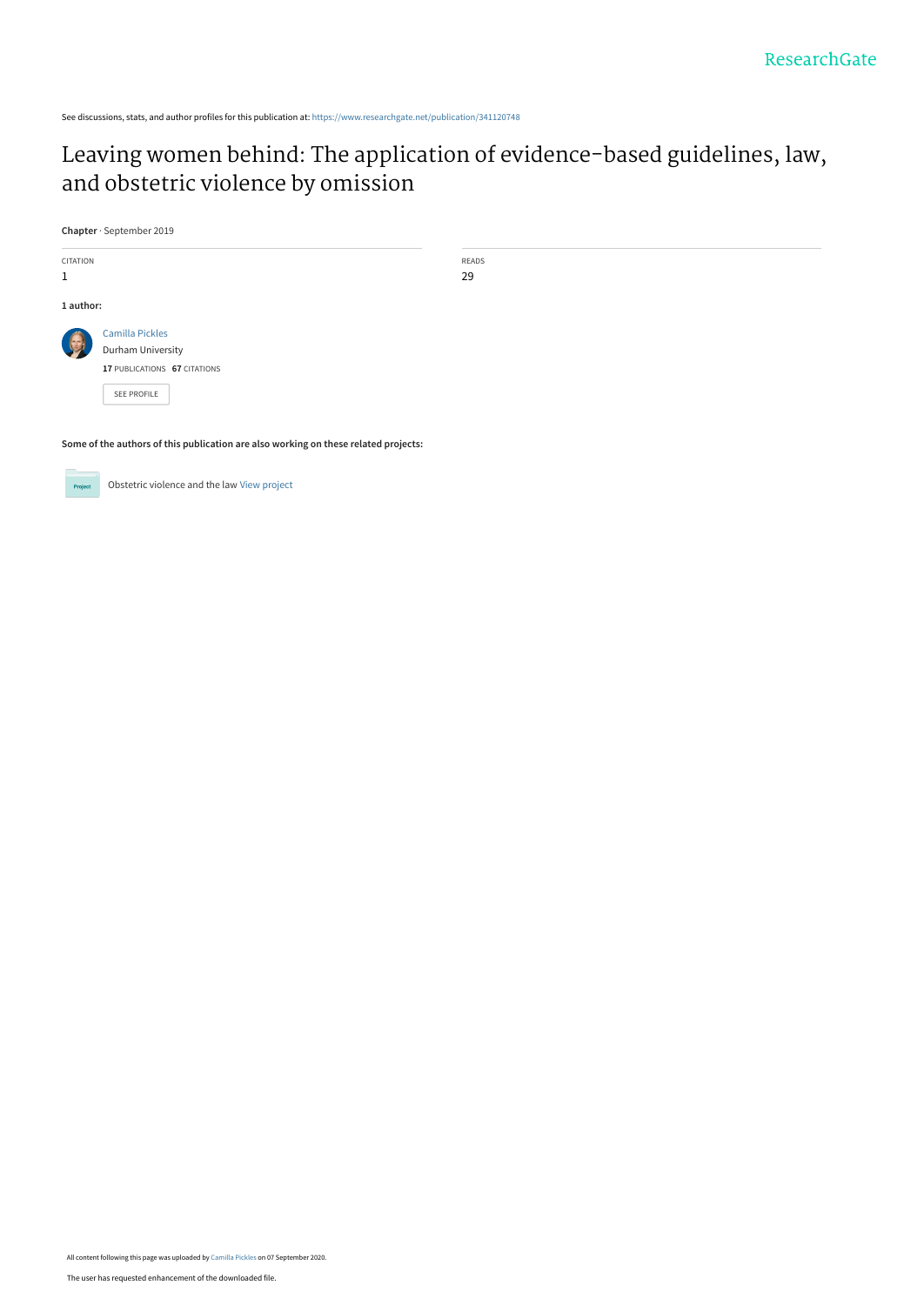See discussions, stats, and author profiles for this publication at: [https://www.researchgate.net/publication/341120748](https://www.researchgate.net/publication/341120748_Leaving_women_behind_The_application_of_evidence-based_guidelines_law_and_obstetric_violence_by_omission?enrichId=rgreq-7d39aeff4d5b6e0e8d6e568812bb28b3-XXX&enrichSource=Y292ZXJQYWdlOzM0MTEyMDc0ODtBUzo5MzMxMjI0MTM3MTk1NThAMTU5OTQ4NTEyODU3Mw%3D%3D&el=1_x_2&_esc=publicationCoverPdf)

## [Leaving women behind: The application of evidence-based guidelines, law,](https://www.researchgate.net/publication/341120748_Leaving_women_behind_The_application_of_evidence-based_guidelines_law_and_obstetric_violence_by_omission?enrichId=rgreq-7d39aeff4d5b6e0e8d6e568812bb28b3-XXX&enrichSource=Y292ZXJQYWdlOzM0MTEyMDc0ODtBUzo5MzMxMjI0MTM3MTk1NThAMTU5OTQ4NTEyODU3Mw%3D%3D&el=1_x_3&_esc=publicationCoverPdf) and obstetric violence by omission

READS 29

**Chapter** · September 2019



**Some of the authors of this publication are also working on these related projects:**

Obstetric violence and the law [View project](https://www.researchgate.net/project/Obstetric-violence-and-the-law?enrichId=rgreq-7d39aeff4d5b6e0e8d6e568812bb28b3-XXX&enrichSource=Y292ZXJQYWdlOzM0MTEyMDc0ODtBUzo5MzMxMjI0MTM3MTk1NThAMTU5OTQ4NTEyODU3Mw%3D%3D&el=1_x_9&_esc=publicationCoverPdf) Project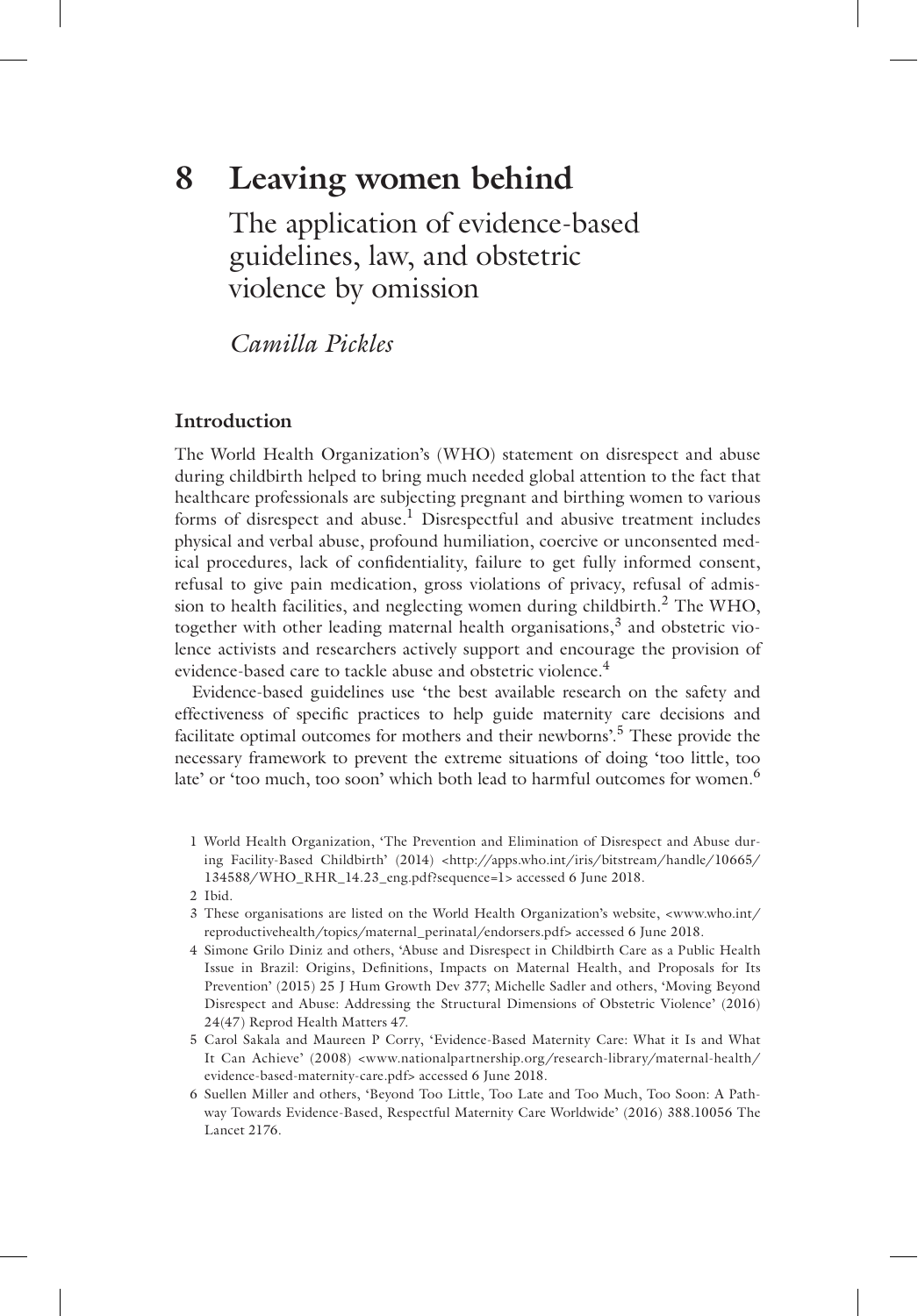# **8 Leaving women behind** The application of evidence-based guidelines, law, and obstetric violence by omission

*Camilla Pickles*

## **Introduction**

The World Health Organization's (WHO) statement on disrespect and abuse during childbirth helped to bring much needed global attention to the fact that healthcare professionals are subjecting pregnant and birthing women to various forms of disrespect and abuse.<sup>1</sup> Disrespectful and abusive treatment includes physical and verbal abuse, profound humiliation, coercive or unconsented medical procedures, lack of confidentiality, failure to get fully informed consent, refusal to give pain medication, gross violations of privacy, refusal of admission to health facilities, and neglecting women during childbirth. $<sup>2</sup>$  The WHO,</sup> together with other leading maternal health organisations, $3$  and obstetric violence activists and researchers actively support and encourage the provision of evidence-based care to tackle abuse and obstetric violence.<sup>4</sup>

Evidence-based guidelines use 'the best available research on the safety and effectiveness of specific practices to help guide maternity care decisions and facilitate optimal outcomes for mothers and their newborns'.5 These provide the necessary framework to prevent the extreme situations of doing 'too little, too late' or 'too much, too soon' which both lead to harmful outcomes for women.<sup>6</sup>

1 World Health Organization, 'The Prevention and Elimination of Disrespect and Abuse during Facility-Based Childbirth' (2014) <http://apps.who.int/iris/bitstream/handle/10665/ 134588/WHO\_RHR\_14.23\_eng.pdf?sequence=1> accessed 6 June 2018.

- 3 These organisations are listed on the World Health Organization's website, <www.who.int/ reproductivehealth/topics/maternal\_perinatal/endorsers.pdf> accessed 6 June 2018.
- 4 Simone Grilo Diniz and others, 'Abuse and Disrespect in Childbirth Care as a Public Health Issue in Brazil: Origins, Definitions, Impacts on Maternal Health, and Proposals for Its Prevention' (2015) 25 J Hum Growth Dev 377; Michelle Sadler and others, 'Moving Beyond Disrespect and Abuse: Addressing the Structural Dimensions of Obstetric Violence' (2016) 24(47) Reprod Health Matters 47.
- 5 Carol Sakala and Maureen P Corry, 'Evidence-Based Maternity Care: What it Is and What It Can Achieve' (2008) <www.nationalpartnership.org/research-library/maternal-health/ evidence-based-maternity-care.pdf> accessed 6 June 2018.
- 6 Suellen Miller and others, 'Beyond Too Little, Too Late and Too Much, Too Soon: A Pathway Towards Evidence-Based, Respectful Maternity Care Worldwide' (2016) 388.10056 The Lancet 2176.

<sup>2</sup> Ibid.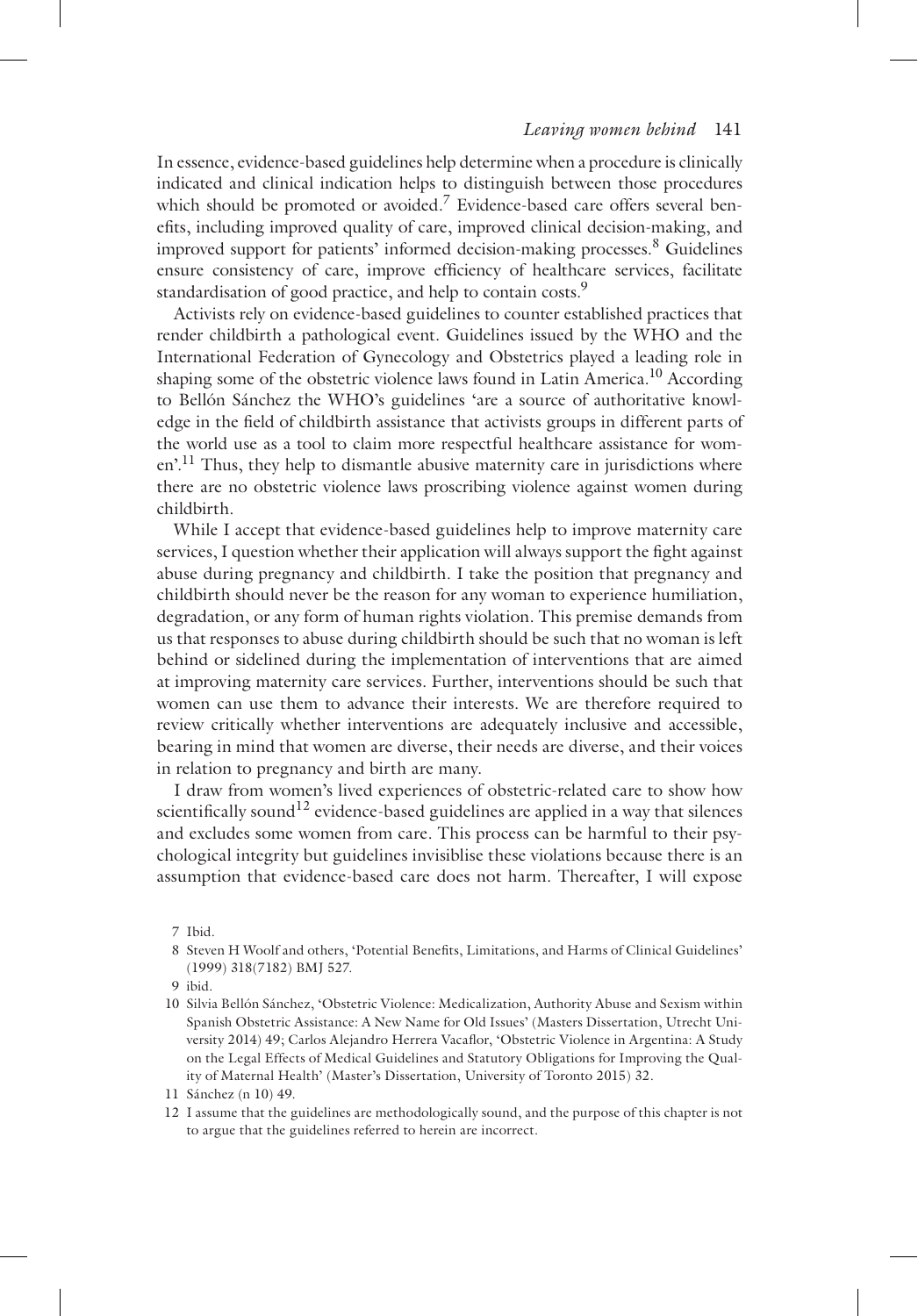In essence, evidence-based guidelines help determine when a procedure is clinically indicated and clinical indication helps to distinguish between those procedures which should be promoted or avoided.<sup>7</sup> Evidence-based care offers several benefits, including improved quality of care, improved clinical decision-making, and improved support for patients' informed decision-making processes.<sup>8</sup> Guidelines ensure consistency of care, improve efficiency of healthcare services, facilitate standardisation of good practice, and help to contain costs.<sup>9</sup>

Activists rely on evidence-based guidelines to counter established practices that render childbirth a pathological event. Guidelines issued by the WHO and the International Federation of Gynecology and Obstetrics played a leading role in shaping some of the obstetric violence laws found in Latin America.<sup>10</sup> According to Bellón Sánchez the WHO's guidelines 'are a source of authoritative knowledge in the field of childbirth assistance that activists groups in different parts of the world use as a tool to claim more respectful healthcare assistance for women'.<sup>11</sup> Thus, they help to dismantle abusive maternity care in jurisdictions where there are no obstetric violence laws proscribing violence against women during childbirth.

While I accept that evidence-based guidelines help to improve maternity care services, I question whether their application will always support the fight against abuse during pregnancy and childbirth. I take the position that pregnancy and childbirth should never be the reason for any woman to experience humiliation, degradation, or any form of human rights violation. This premise demands from us that responses to abuse during childbirth should be such that no woman is left behind or sidelined during the implementation of interventions that are aimed at improving maternity care services. Further, interventions should be such that women can use them to advance their interests. We are therefore required to review critically whether interventions are adequately inclusive and accessible, bearing in mind that women are diverse, their needs are diverse, and their voices in relation to pregnancy and birth are many.

I draw from women's lived experiences of obstetric-related care to show how scientifically sound<sup>12</sup> evidence-based guidelines are applied in a way that silences and excludes some women from care. This process can be harmful to their psychological integrity but guidelines invisiblise these violations because there is an assumption that evidence-based care does not harm. Thereafter, I will expose

<sup>7</sup> Ibid.

<sup>8</sup> Steven H Woolf and others, 'Potential Benefits, Limitations, and Harms of Clinical Guidelines' (1999) 318(7182) BMJ 527.

<sup>9</sup> ibid.

<sup>10</sup> Silvia Bellón Sánchez, 'Obstetric Violence: Medicalization, Authority Abuse and Sexism within Spanish Obstetric Assistance: A New Name for Old Issues' (Masters Dissertation, Utrecht University 2014) 49; Carlos Alejandro Herrera Vacaflor, 'Obstetric Violence in Argentina: A Study on the Legal Effects of Medical Guidelines and Statutory Obligations for Improving the Quality of Maternal Health' (Master's Dissertation, University of Toronto 2015) 32.

<sup>11</sup> Sánchez (n 10) 49.

<sup>12</sup> I assume that the guidelines are methodologically sound, and the purpose of this chapter is not to argue that the guidelines referred to herein are incorrect.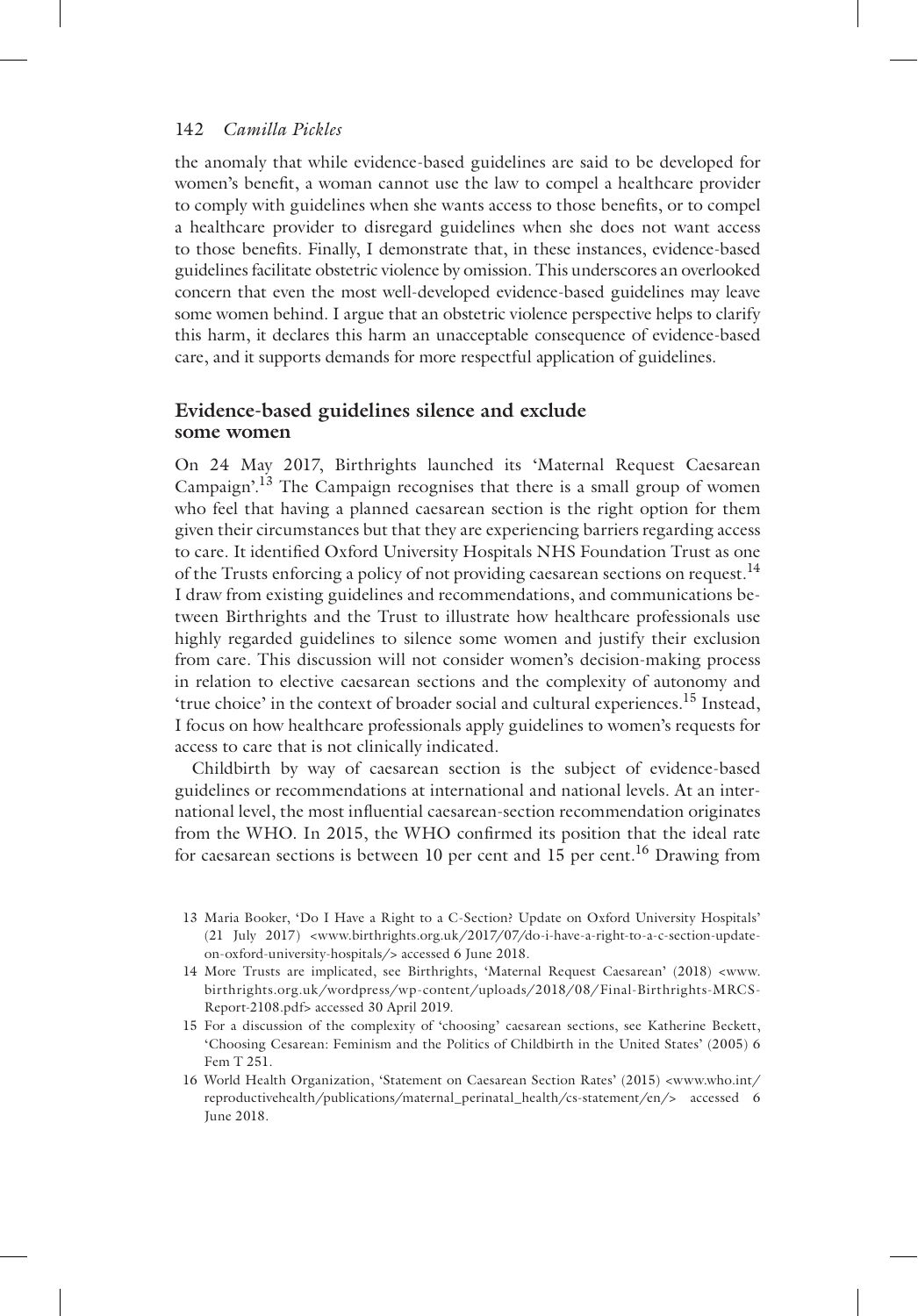the anomaly that while evidence-based guidelines are said to be developed for women's benefit, a woman cannot use the law to compel a healthcare provider to comply with guidelines when she wants access to those benefits, or to compel a healthcare provider to disregard guidelines when she does not want access to those benefits. Finally, I demonstrate that, in these instances, evidence-based guidelines facilitate obstetric violence by omission. This underscores an overlooked concern that even the most well-developed evidence-based guidelines may leave some women behind. I argue that an obstetric violence perspective helps to clarify this harm, it declares this harm an unacceptable consequence of evidence-based care, and it supports demands for more respectful application of guidelines.

## **Evidence-based guidelines silence and exclude some women**

On 24 May 2017, Birthrights launched its 'Maternal Request Caesarean Campaign'.13 The Campaign recognises that there is a small group of women who feel that having a planned caesarean section is the right option for them given their circumstances but that they are experiencing barriers regarding access to care. It identified Oxford University Hospitals NHS Foundation Trust as one of the Trusts enforcing a policy of not providing caesarean sections on request.<sup>14</sup> I draw from existing guidelines and recommendations, and communications between Birthrights and the Trust to illustrate how healthcare professionals use highly regarded guidelines to silence some women and justify their exclusion from care. This discussion will not consider women's decision-making process in relation to elective caesarean sections and the complexity of autonomy and 'true choice' in the context of broader social and cultural experiences.<sup>15</sup> Instead, I focus on how healthcare professionals apply guidelines to women's requests for access to care that is not clinically indicated.

Childbirth by way of caesarean section is the subject of evidence-based guidelines or recommendations at international and national levels. At an international level, the most influential caesarean-section recommendation originates from the WHO. In 2015, the WHO confirmed its position that the ideal rate for caesarean sections is between 10 per cent and 15 per cent.<sup>16</sup> Drawing from

<sup>13</sup> Maria Booker, 'Do I Have a Right to a C-Section? Update on Oxford University Hospitals' (21 July 2017) <www.birthrights.org.uk/2017/07/do-i-have-a-right-to-a-c-section-updateon-oxford-university-hospitals/> accessed 6 June 2018.

<sup>14</sup> More Trusts are implicated, see Birthrights, 'Maternal Request Caesarean' (2018) <www. birthrights.org.uk/wordpress/wp-content/uploads/2018/08/Final-Birthrights-MRCS-Report-2108.pdf> accessed 30 April 2019.

<sup>15</sup> For a discussion of the complexity of 'choosing' caesarean sections, see Katherine Beckett, 'Choosing Cesarean: Feminism and the Politics of Childbirth in the United States' (2005) 6 Fem T 251.

<sup>16</sup> World Health Organization, 'Statement on Caesarean Section Rates' (2015) <www.who.int/ reproductivehealth/publications/maternal\_perinatal\_health/cs-statement/en/> accessed 6 June 2018.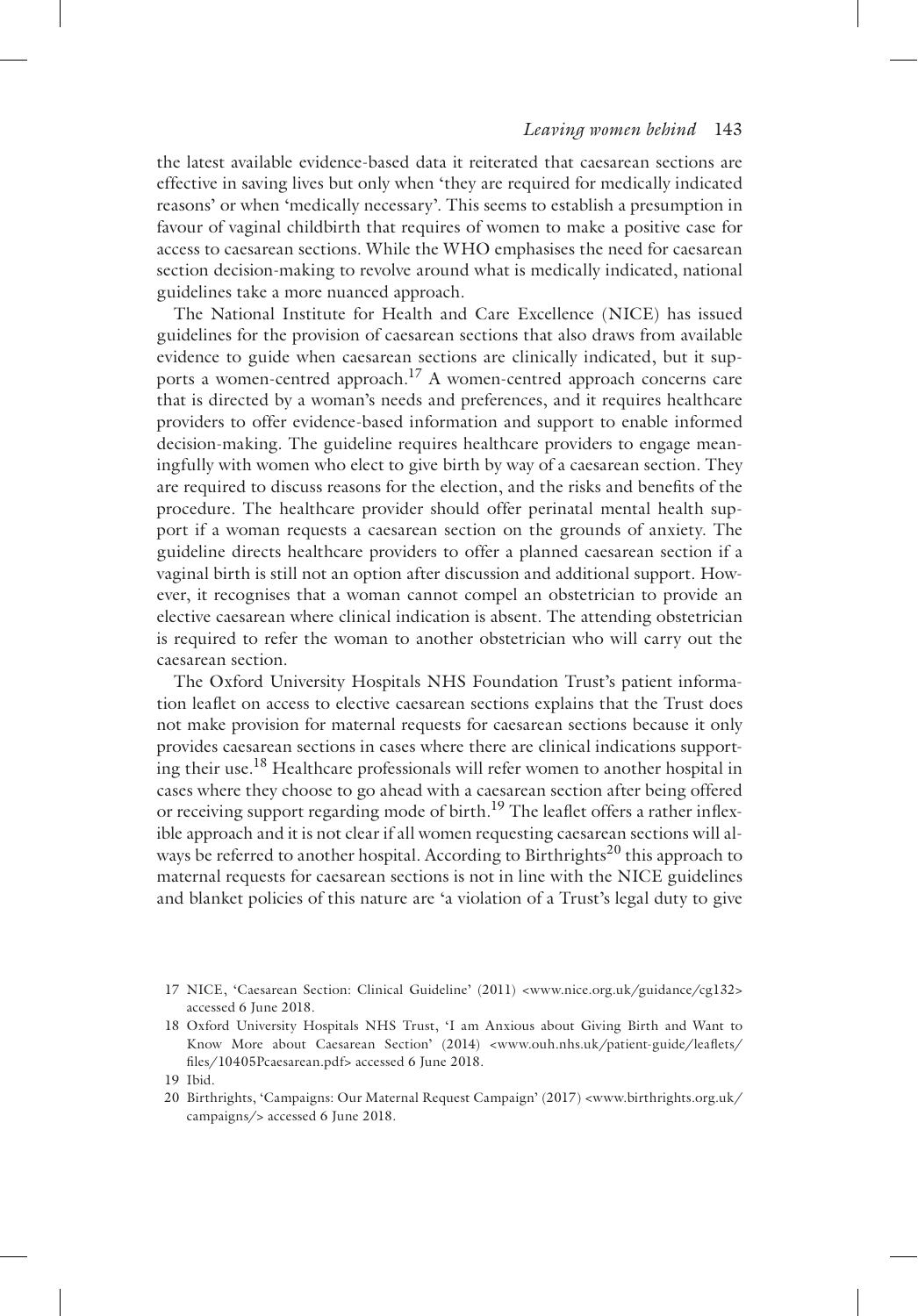#### *Leaving women behind* 143

the latest available evidence-based data it reiterated that caesarean sections are effective in saving lives but only when 'they are required for medically indicated reasons' or when 'medically necessary'. This seems to establish a presumption in favour of vaginal childbirth that requires of women to make a positive case for access to caesarean sections. While the WHO emphasises the need for caesarean section decision-making to revolve around what is medically indicated, national guidelines take a more nuanced approach.

The National Institute for Health and Care Excellence (NICE) has issued guidelines for the provision of caesarean sections that also draws from available evidence to guide when caesarean sections are clinically indicated, but it supports a women-centred approach.<sup>17</sup> A women-centred approach concerns care that is directed by a woman's needs and preferences, and it requires healthcare providers to offer evidence-based information and support to enable informed decision-making. The guideline requires healthcare providers to engage meaningfully with women who elect to give birth by way of a caesarean section. They are required to discuss reasons for the election, and the risks and benefits of the procedure. The healthcare provider should offer perinatal mental health support if a woman requests a caesarean section on the grounds of anxiety. The guideline directs healthcare providers to offer a planned caesarean section if a vaginal birth is still not an option after discussion and additional support. However, it recognises that a woman cannot compel an obstetrician to provide an elective caesarean where clinical indication is absent. The attending obstetrician is required to refer the woman to another obstetrician who will carry out the caesarean section.

The Oxford University Hospitals NHS Foundation Trust's patient information leaflet on access to elective caesarean sections explains that the Trust does not make provision for maternal requests for caesarean sections because it only provides caesarean sections in cases where there are clinical indications supporting their use.18 Healthcare professionals will refer women to another hospital in cases where they choose to go ahead with a caesarean section after being offered or receiving support regarding mode of birth.<sup>19</sup> The leaflet offers a rather inflexible approach and it is not clear if all women requesting caesarean sections will always be referred to another hospital. According to Birthrights<sup>20</sup> this approach to maternal requests for caesarean sections is not in line with the NICE guidelines and blanket policies of this nature are 'a violation of a Trust's legal duty to give

<sup>17</sup> NICE, 'Caesarean Section: Clinical Guideline' (2011) <www.nice.org.uk/guidance/cg132> accessed 6 June 2018.

<sup>18</sup> Oxford University Hospitals NHS Trust, 'I am Anxious about Giving Birth and Want to Know More about Caesarean Section' (2014) <www.ouh.nhs.uk/patient-guide/leaflets/ files/10405Pcaesarean.pdf> accessed 6 June 2018.

<sup>19</sup> Ibid.

<sup>20</sup> Birthrights, 'Campaigns: Our Maternal Request Campaign' (2017) <www.birthrights.org.uk/ campaigns/> accessed 6 June 2018.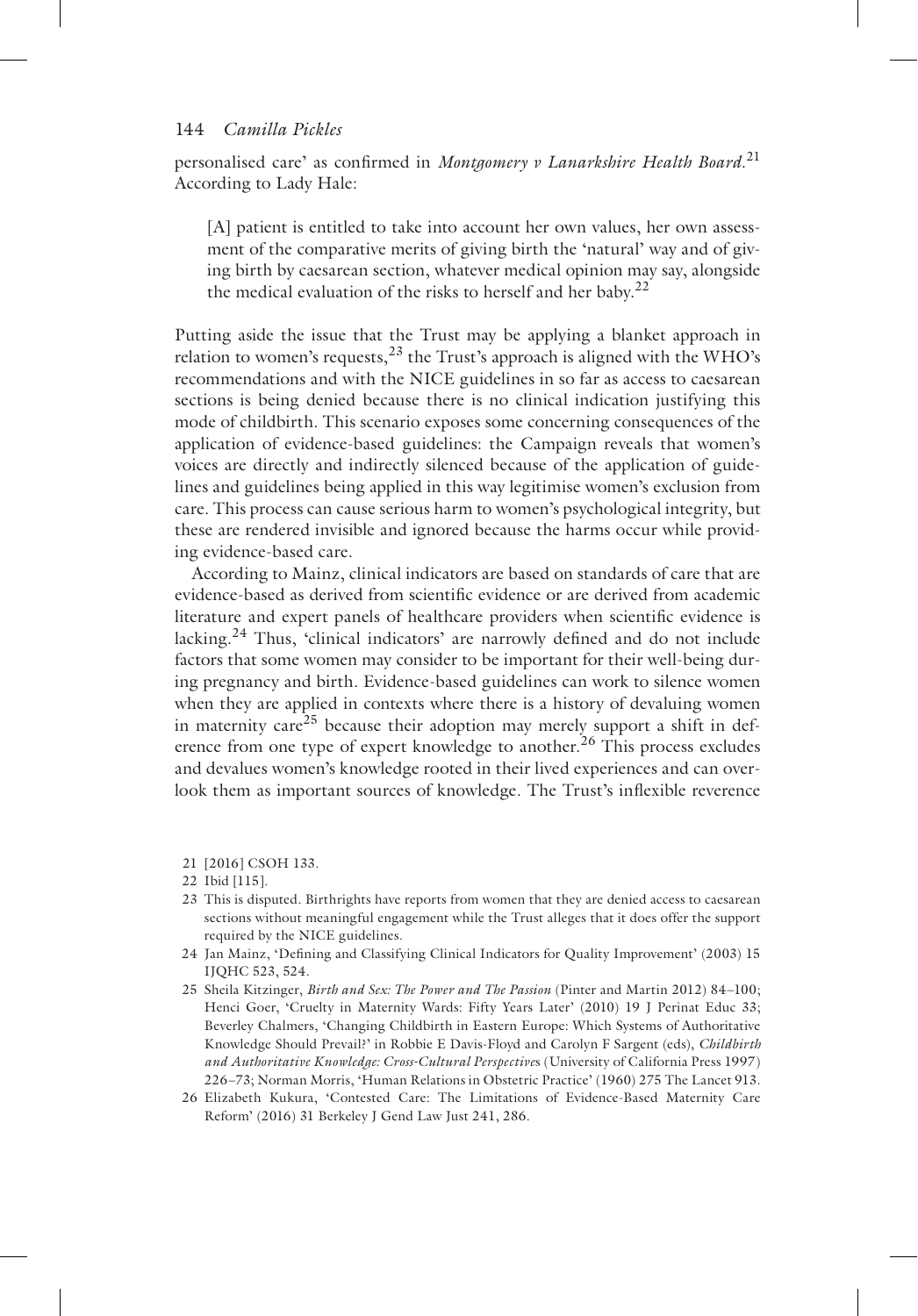personalised care' as confirmed in *Montgomery v Lanarkshire Health Board*. 21 According to Lady Hale:

[A] patient is entitled to take into account her own values, her own assessment of the comparative merits of giving birth the 'natural' way and of giving birth by caesarean section, whatever medical opinion may say, alongside the medical evaluation of the risks to herself and her baby.<sup>22</sup>

Putting aside the issue that the Trust may be applying a blanket approach in relation to women's requests,  $^{23}$  the Trust's approach is aligned with the WHO's recommendations and with the NICE guidelines in so far as access to caesarean sections is being denied because there is no clinical indication justifying this mode of childbirth. This scenario exposes some concerning consequences of the application of evidence-based guidelines: the Campaign reveals that women's voices are directly and indirectly silenced because of the application of guidelines and guidelines being applied in this way legitimise women's exclusion from care. This process can cause serious harm to women's psychological integrity, but these are rendered invisible and ignored because the harms occur while providing evidence-based care.

According to Mainz, clinical indicators are based on standards of care that are evidence-based as derived from scientific evidence or are derived from academic literature and expert panels of healthcare providers when scientific evidence is lacking.<sup>24</sup> Thus, 'clinical indicators' are narrowly defined and do not include factors that some women may consider to be important for their well-being during pregnancy and birth. Evidence-based guidelines can work to silence women when they are applied in contexts where there is a history of devaluing women in maternity care<sup>25</sup> because their adoption may merely support a shift in deference from one type of expert knowledge to another.<sup>26</sup> This process excludes and devalues women's knowledge rooted in their lived experiences and can overlook them as important sources of knowledge. The Trust's inflexible reverence

- 23 This is disputed. Birthrights have reports from women that they are denied access to caesarean sections without meaningful engagement while the Trust alleges that it does offer the support required by the NICE guidelines.
- 24 Jan Mainz, 'Defining and Classifying Clinical Indicators for Quality Improvement' (2003) 15 IJQHC 523, 524.
- 25 Sheila Kitzinger, *Birth and Sex: The Power and The Passion* (Pinter and Martin 2012) 84–100; Henci Goer, 'Cruelty in Maternity Wards: Fifty Years Later' (2010) 19 J Perinat Educ 33; Beverley Chalmers, 'Changing Childbirth in Eastern Europe: Which Systems of Authoritative Knowledge Should Prevail?' in Robbie E Davis-Floyd and Carolyn F Sargent (eds), *Childbirth and Authoritative Knowledge: Cross-Cultural Perspective*s (University of California Press 1997) 226–73; Norman Morris, 'Human Relations in Obstetric Practice' (1960) 275 The Lancet 913.
- 26 Elizabeth Kukura, 'Contested Care: The Limitations of Evidence-Based Maternity Care Reform' (2016) 31 Berkeley J Gend Law Just 241, 286.

<sup>21</sup> [2016] CSOH 133.

<sup>22</sup> Ibid [115].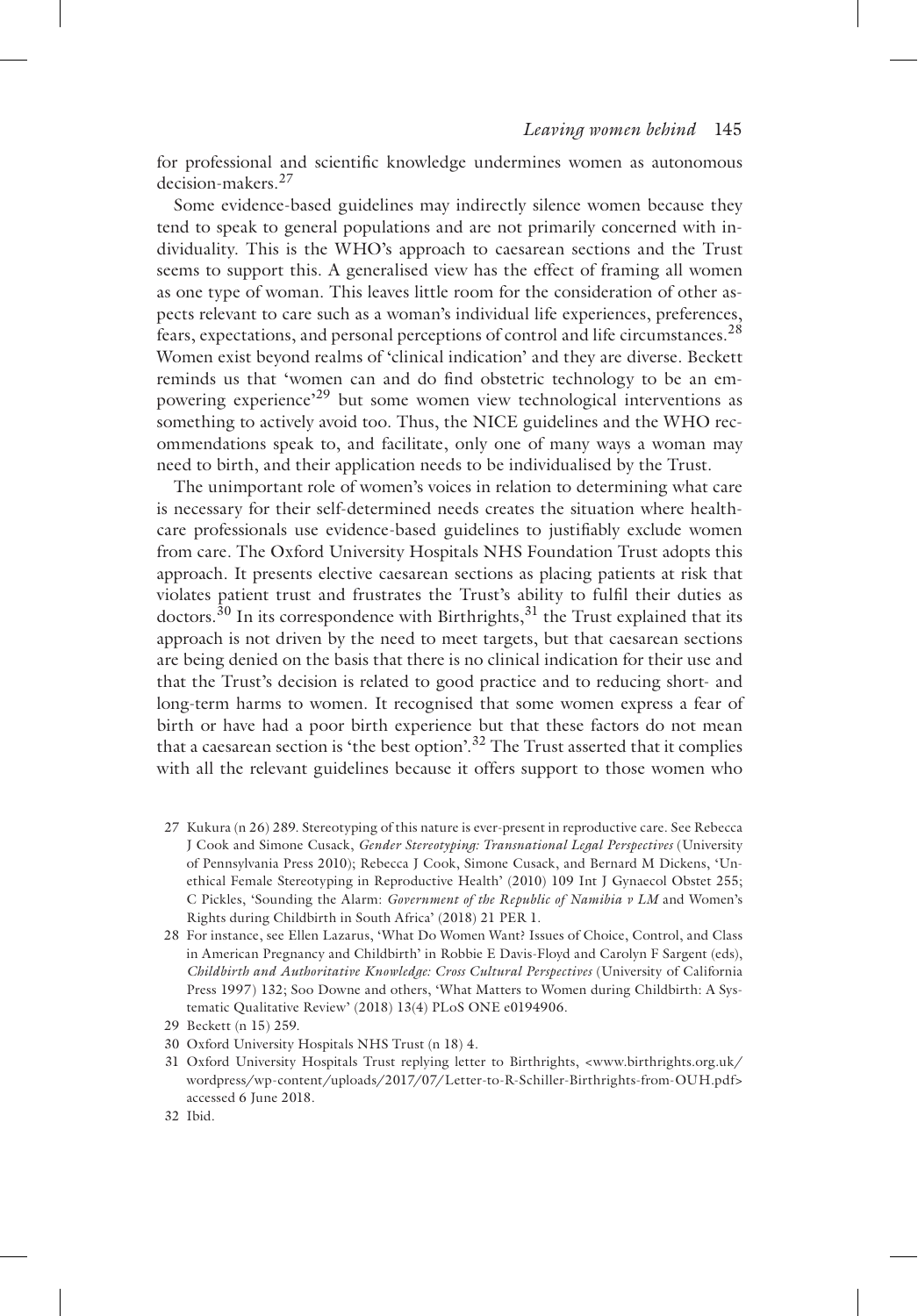for professional and scientific knowledge undermines women as autonomous decision-makers.<sup>27</sup>

Some evidence-based guidelines may indirectly silence women because they tend to speak to general populations and are not primarily concerned with individuality. This is the WHO's approach to caesarean sections and the Trust seems to support this. A generalised view has the effect of framing all women as one type of woman. This leaves little room for the consideration of other aspects relevant to care such as a woman's individual life experiences, preferences, fears, expectations, and personal perceptions of control and life circumstances.<sup>28</sup> Women exist beyond realms of 'clinical indication' and they are diverse. Beckett reminds us that 'women can and do find obstetric technology to be an empowering experience'29 but some women view technological interventions as something to actively avoid too. Thus, the NICE guidelines and the WHO recommendations speak to, and facilitate, only one of many ways a woman may need to birth, and their application needs to be individualised by the Trust.

The unimportant role of women's voices in relation to determining what care is necessary for their self-determined needs creates the situation where healthcare professionals use evidence-based guidelines to justifiably exclude women from care. The Oxford University Hospitals NHS Foundation Trust adopts this approach. It presents elective caesarean sections as placing patients at risk that violates patient trust and frustrates the Trust's ability to fulfil their duties as doctors.<sup>30</sup> In its correspondence with Birthrights,<sup>31</sup> the Trust explained that its approach is not driven by the need to meet targets, but that caesarean sections are being denied on the basis that there is no clinical indication for their use and that the Trust's decision is related to good practice and to reducing short- and long-term harms to women. It recognised that some women express a fear of birth or have had a poor birth experience but that these factors do not mean that a caesarean section is 'the best option'.32 The Trust asserted that it complies with all the relevant guidelines because it offers support to those women who

- 27 Kukura (n 26) 289. Stereotyping of this nature is ever-present in reproductive care. See Rebecca J Cook and Simone Cusack, *Gender Stereotyping: Transnational Legal Perspectives* (University of Pennsylvania Press 2010); Rebecca J Cook, Simone Cusack, and Bernard M Dickens, 'Unethical Female Stereotyping in Reproductive Health' (2010) 109 Int J Gynaecol Obstet 255; C Pickles, 'Sounding the Alarm: *Government of the Republic of Namibia v LM* and Women's Rights during Childbirth in South Africa' (2018) 21 PER 1.
- 28 For instance, see Ellen Lazarus, 'What Do Women Want? Issues of Choice, Control, and Class in American Pregnancy and Childbirth' in Robbie E Davis-Floyd and Carolyn F Sargent (eds), *Childbirth and Authoritative Knowledge: Cross Cultural Perspectives* (University of California Press 1997) 132; Soo Downe and others, 'What Matters to Women during Childbirth: A Systematic Qualitative Review' (2018) 13(4) PLoS ONE e0194906.
- 29 Beckett (n 15) 259.
- 30 Oxford University Hospitals NHS Trust (n 18) 4.
- 31 Oxford University Hospitals Trust replying letter to Birthrights, <www.birthrights.org.uk/ wordpress/wp-content/uploads/2017/07/Letter-to-R-Schiller-Birthrights-from-OUH.pdf> accessed 6 June 2018.

<sup>32</sup> Ibid.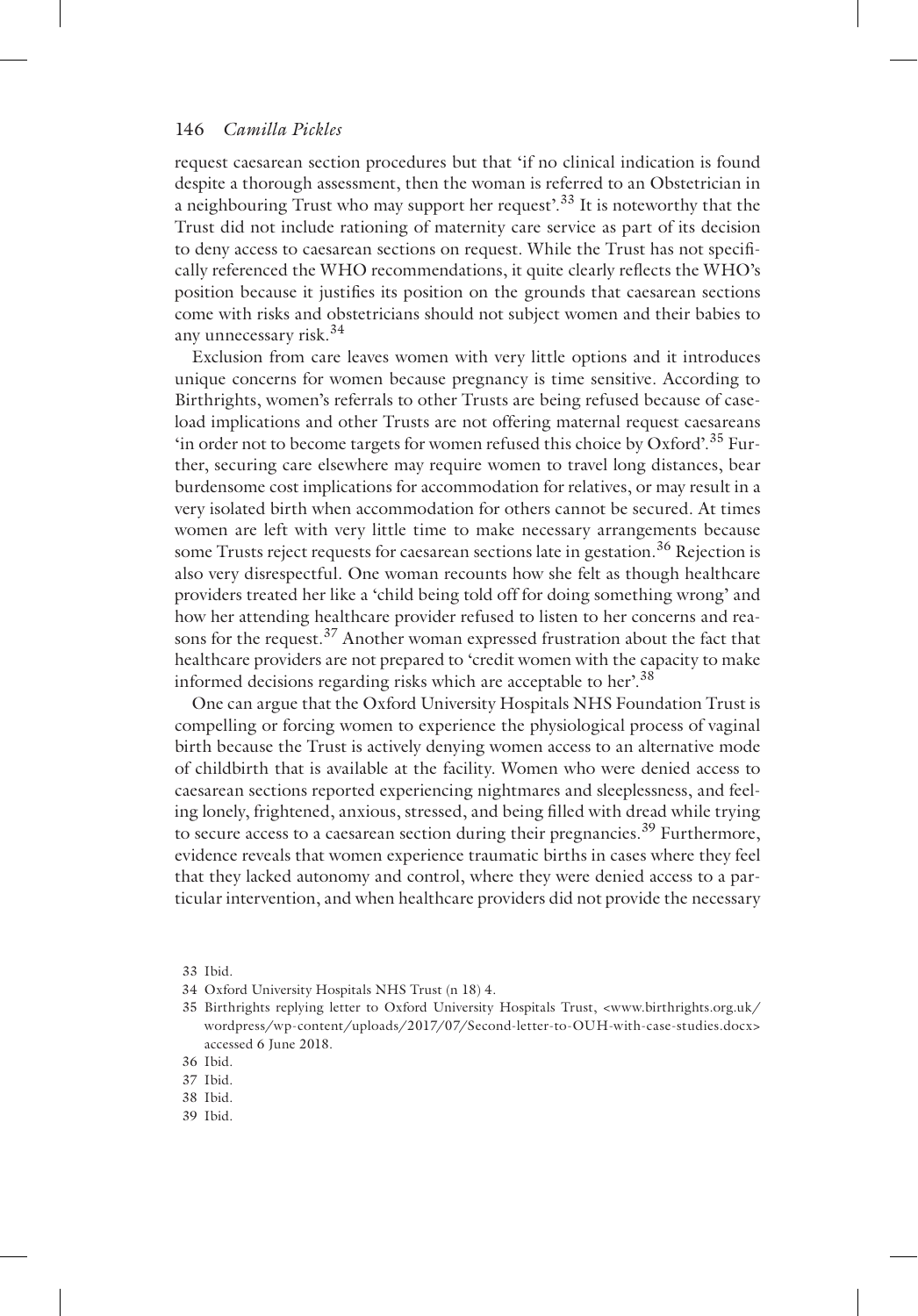request caesarean section procedures but that 'if no clinical indication is found despite a thorough assessment, then the woman is referred to an Obstetrician in a neighbouring Trust who may support her request'.<sup>33</sup> It is noteworthy that the Trust did not include rationing of maternity care service as part of its decision to deny access to caesarean sections on request. While the Trust has not specifically referenced the WHO recommendations, it quite clearly reflects the WHO's position because it justifies its position on the grounds that caesarean sections come with risks and obstetricians should not subject women and their babies to any unnecessary risk.<sup>34</sup>

Exclusion from care leaves women with very little options and it introduces unique concerns for women because pregnancy is time sensitive. According to Birthrights, women's referrals to other Trusts are being refused because of caseload implications and other Trusts are not offering maternal request caesareans 'in order not to become targets for women refused this choice by Oxford'.35 Further, securing care elsewhere may require women to travel long distances, bear burdensome cost implications for accommodation for relatives, or may result in a very isolated birth when accommodation for others cannot be secured. At times women are left with very little time to make necessary arrangements because some Trusts reject requests for caesarean sections late in gestation.<sup>36</sup> Rejection is also very disrespectful. One woman recounts how she felt as though healthcare providers treated her like a 'child being told off for doing something wrong' and how her attending healthcare provider refused to listen to her concerns and reasons for the request.<sup>37</sup> Another woman expressed frustration about the fact that healthcare providers are not prepared to 'credit women with the capacity to make informed decisions regarding risks which are acceptable to her'.<sup>38</sup>

One can argue that the Oxford University Hospitals NHS Foundation Trust is compelling or forcing women to experience the physiological process of vaginal birth because the Trust is actively denying women access to an alternative mode of childbirth that is available at the facility. Women who were denied access to caesarean sections reported experiencing nightmares and sleeplessness, and feeling lonely, frightened, anxious, stressed, and being filled with dread while trying to secure access to a caesarean section during their pregnancies.<sup>39</sup> Furthermore, evidence reveals that women experience traumatic births in cases where they feel that they lacked autonomy and control, where they were denied access to a particular intervention, and when healthcare providers did not provide the necessary

- 34 Oxford University Hospitals NHS Trust (n 18) 4.
- 35 Birthrights replying letter to Oxford University Hospitals Trust, <www.birthrights.org.uk/ wordpress/wp-content/uploads/2017/07/Second-letter-to-OUH-with-case-studies.docx> accessed 6 June 2018.
- 36 Ibid.

- 38 Ibid.
- 39 Ibid.

<sup>33</sup> Ibid.

<sup>37</sup> Ibid.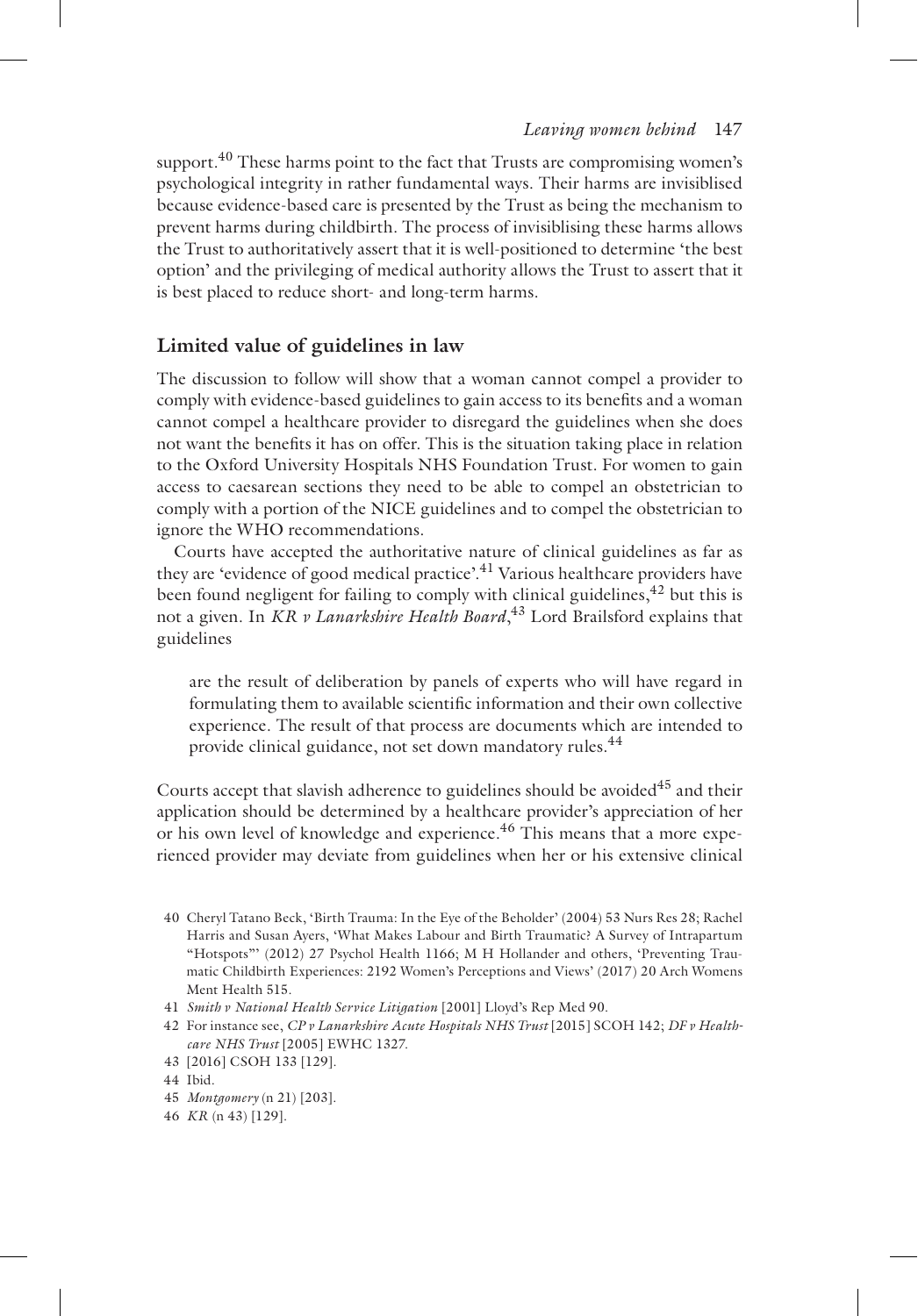support. $40$  These harms point to the fact that Trusts are compromising women's psychological integrity in rather fundamental ways. Their harms are invisiblised because evidence-based care is presented by the Trust as being the mechanism to prevent harms during childbirth. The process of invisiblising these harms allows the Trust to authoritatively assert that it is well-positioned to determine 'the best option' and the privileging of medical authority allows the Trust to assert that it is best placed to reduce short- and long-term harms.

## **Limited value of guidelines in law**

The discussion to follow will show that a woman cannot compel a provider to comply with evidence-based guidelines to gain access to its benefits and a woman cannot compel a healthcare provider to disregard the guidelines when she does not want the benefits it has on offer. This is the situation taking place in relation to the Oxford University Hospitals NHS Foundation Trust. For women to gain access to caesarean sections they need to be able to compel an obstetrician to comply with a portion of the NICE guidelines and to compel the obstetrician to ignore the WHO recommendations.

Courts have accepted the authoritative nature of clinical guidelines as far as they are 'evidence of good medical practice'.41 Various healthcare providers have been found negligent for failing to comply with clinical guidelines,  $42$  but this is not a given. In *KR v Lanarkshire Health Board*, 43 Lord Brailsford explains that guidelines

are the result of deliberation by panels of experts who will have regard in formulating them to available scientific information and their own collective experience. The result of that process are documents which are intended to provide clinical guidance, not set down mandatory rules.<sup>44</sup>

Courts accept that slavish adherence to guidelines should be avoided<sup>45</sup> and their application should be determined by a healthcare provider's appreciation of her or his own level of knowledge and experience.46 This means that a more experienced provider may deviate from guidelines when her or his extensive clinical

- 41 *Smith v National Health Service Litigation* [2001] Lloyd's Rep Med 90.
- 42 For instance see, *CP v Lanarkshire Acute Hospitals NHS Trust* [2015] SCOH 142; *DF v Healthcare NHS Trust* [2005] EWHC 1327.
- 43 [2016] CSOH 133 [129].

- 45 *Montgomery* (n 21) [203].
- 46 *KR* (n 43) [129].

<sup>40</sup> Cheryl Tatano Beck, 'Birth Trauma: In the Eye of the Beholder' (2004) 53 Nurs Res 28; Rachel Harris and Susan Ayers, 'What Makes Labour and Birth Traumatic? A Survey of Intrapartum "Hotspots"' (2012) 27 Psychol Health 1166; M H Hollander and others, 'Preventing Traumatic Childbirth Experiences: 2192 Women's Perceptions and Views' (2017) 20 Arch Womens Ment Health 515.

<sup>44</sup> Ibid.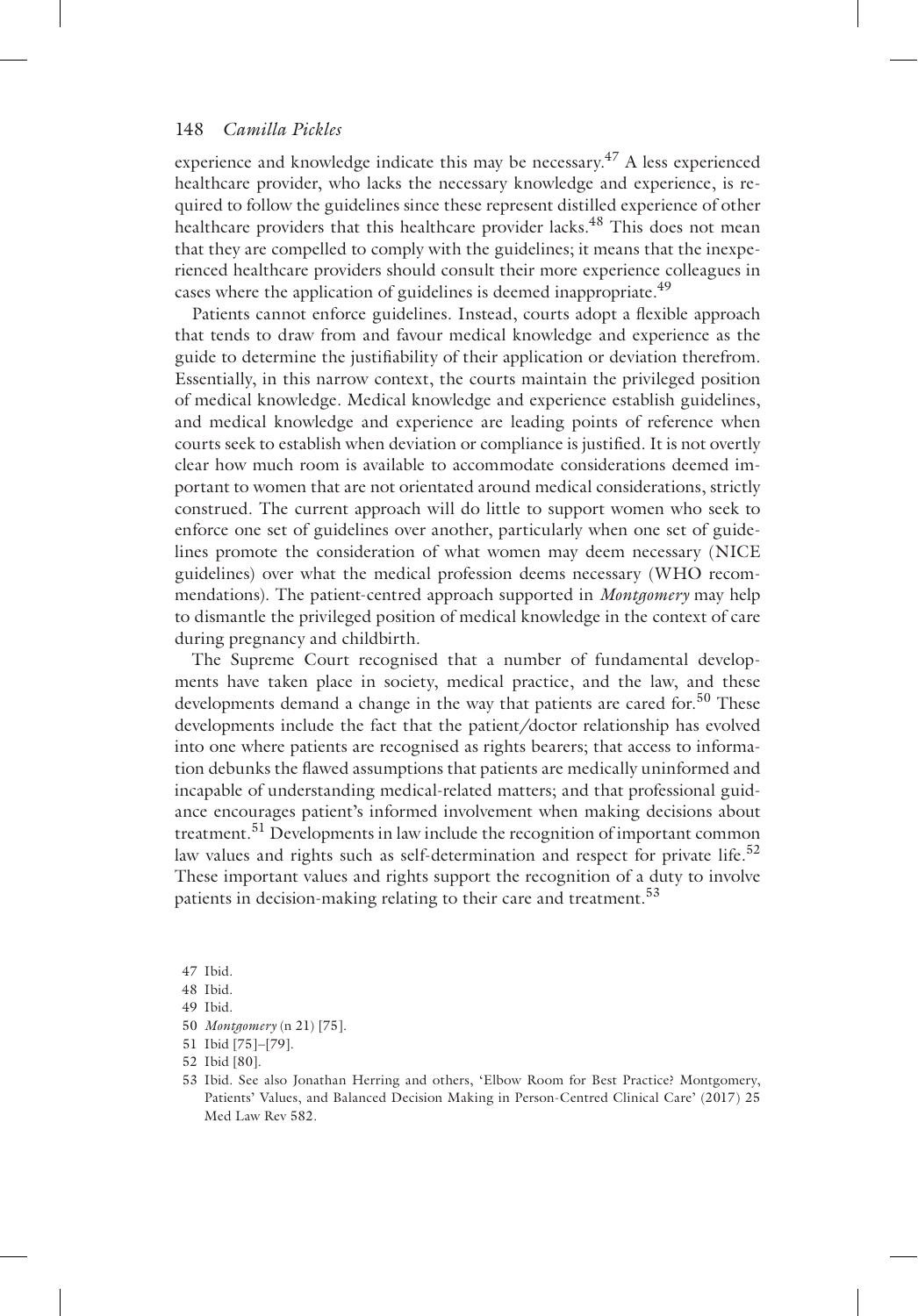experience and knowledge indicate this may be necessary.<sup>47</sup> A less experienced healthcare provider, who lacks the necessary knowledge and experience, is required to follow the guidelines since these represent distilled experience of other healthcare providers that this healthcare provider lacks.<sup>48</sup> This does not mean that they are compelled to comply with the guidelines; it means that the inexperienced healthcare providers should consult their more experience colleagues in cases where the application of guidelines is deemed inappropriate.<sup>49</sup>

Patients cannot enforce guidelines. Instead, courts adopt a flexible approach that tends to draw from and favour medical knowledge and experience as the guide to determine the justifiability of their application or deviation therefrom. Essentially, in this narrow context, the courts maintain the privileged position of medical knowledge. Medical knowledge and experience establish guidelines, and medical knowledge and experience are leading points of reference when courts seek to establish when deviation or compliance is justified. It is not overtly clear how much room is available to accommodate considerations deemed important to women that are not orientated around medical considerations, strictly construed. The current approach will do little to support women who seek to enforce one set of guidelines over another, particularly when one set of guidelines promote the consideration of what women may deem necessary (NICE guidelines) over what the medical profession deems necessary (WHO recommendations). The patient-centred approach supported in *Montgomery* may help to dismantle the privileged position of medical knowledge in the context of care during pregnancy and childbirth.

The Supreme Court recognised that a number of fundamental developments have taken place in society, medical practice, and the law, and these developments demand a change in the way that patients are cared for.<sup>50</sup> These developments include the fact that the patient/doctor relationship has evolved into one where patients are recognised as rights bearers; that access to information debunks the flawed assumptions that patients are medically uninformed and incapable of understanding medical-related matters; and that professional guidance encourages patient's informed involvement when making decisions about treatment.<sup>51</sup> Developments in law include the recognition of important common law values and rights such as self-determination and respect for private life.<sup>52</sup> These important values and rights support the recognition of a duty to involve patients in decision-making relating to their care and treatment.<sup>53</sup>

- 49 Ibid.
- 50 *Montgomery* (n 21) [75].
- 51 Ibid [75]–[79].

<sup>47</sup> Ibid.

<sup>48</sup> Ibid.

<sup>52</sup> Ibid [80].

<sup>53</sup> Ibid. See also Jonathan Herring and others, 'Elbow Room for Best Practice? Montgomery, Patients' Values, and Balanced Decision Making in Person-Centred Clinical Care' (2017) 25 Med Law Rev 582.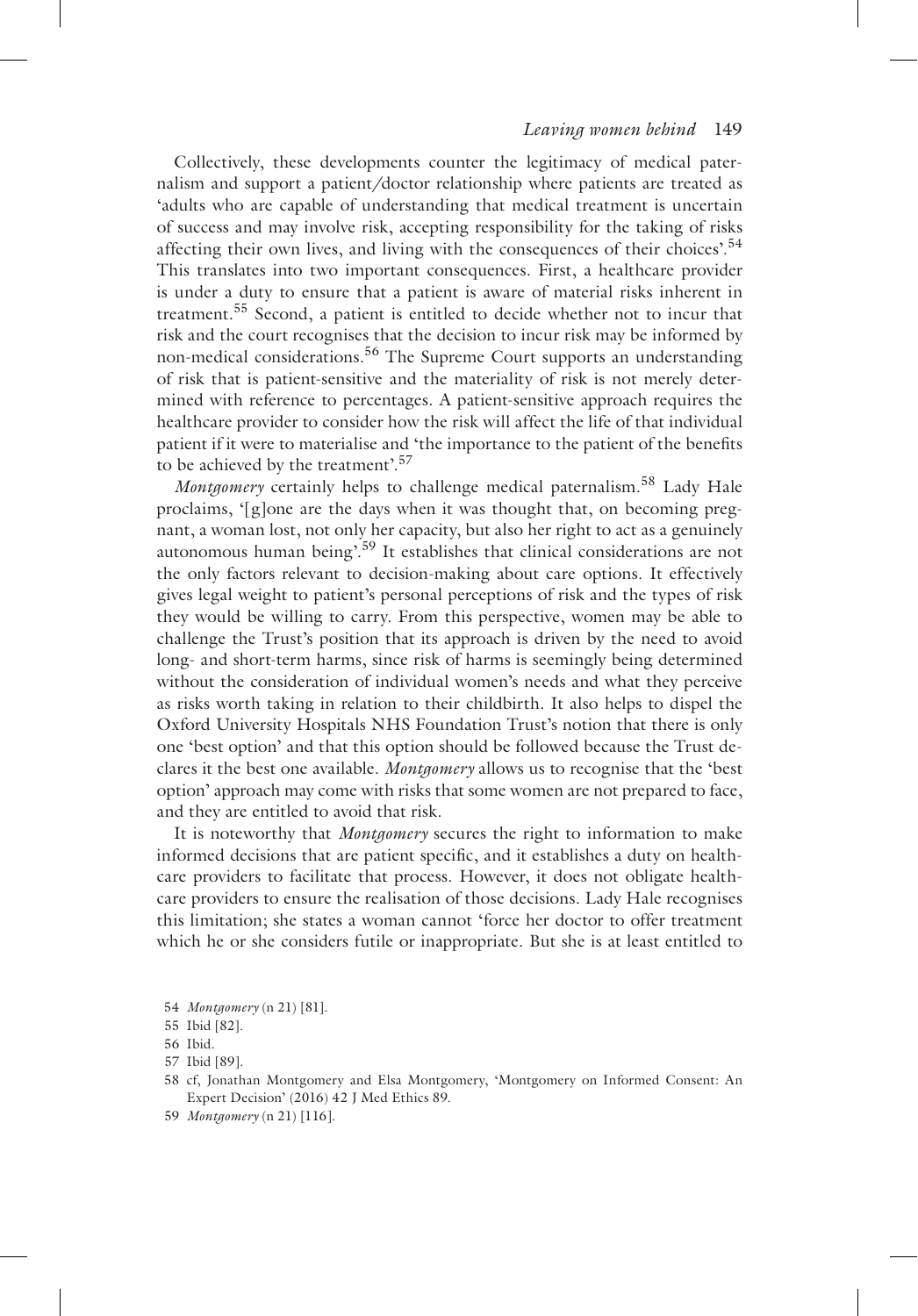#### *Leaving women behind* 149

Collectively, these developments counter the legitimacy of medical paternalism and support a patient/doctor relationship where patients are treated as 'adults who are capable of understanding that medical treatment is uncertain of success and may involve risk, accepting responsibility for the taking of risks affecting their own lives, and living with the consequences of their choices'.<sup>54</sup> This translates into two important consequences. First, a healthcare provider is under a duty to ensure that a patient is aware of material risks inherent in treatment.55 Second, a patient is entitled to decide whether not to incur that risk and the court recognises that the decision to incur risk may be informed by non-medical considerations.<sup>56</sup> The Supreme Court supports an understanding of risk that is patient-sensitive and the materiality of risk is not merely determined with reference to percentages. A patient-sensitive approach requires the healthcare provider to consider how the risk will affect the life of that individual patient if it were to materialise and 'the importance to the patient of the benefits to be achieved by the treatment'.<sup>57</sup>

*Montgomery* certainly helps to challenge medical paternalism.<sup>58</sup> Lady Hale proclaims, '[g]one are the days when it was thought that, on becoming pregnant, a woman lost, not only her capacity, but also her right to act as a genuinely autonomous human being'.59 It establishes that clinical considerations are not the only factors relevant to decision-making about care options. It effectively gives legal weight to patient's personal perceptions of risk and the types of risk they would be willing to carry. From this perspective, women may be able to challenge the Trust's position that its approach is driven by the need to avoid long- and short-term harms, since risk of harms is seemingly being determined without the consideration of individual women's needs and what they perceive as risks worth taking in relation to their childbirth. It also helps to dispel the Oxford University Hospitals NHS Foundation Trust's notion that there is only one 'best option' and that this option should be followed because the Trust declares it the best one available. *Montgomery* allows us to recognise that the 'best option' approach may come with risks that some women are not prepared to face, and they are entitled to avoid that risk.

It is noteworthy that *Montgomery* secures the right to information to make informed decisions that are patient specific, and it establishes a duty on healthcare providers to facilitate that process. However, it does not obligate healthcare providers to ensure the realisation of those decisions. Lady Hale recognises this limitation; she states a woman cannot 'force her doctor to offer treatment which he or she considers futile or inappropriate. But she is at least entitled to

59 *Montgomery* (n 21) [116].

<sup>54</sup> *Montgomery* (n 21) [81].

<sup>55</sup> Ibid [82].

<sup>56</sup> Ibid.

<sup>57</sup> Ibid [89].

<sup>58</sup> cf, Jonathan Montgomery and Elsa Montgomery, 'Montgomery on Informed Consent: An Expert Decision' (2016) 42 J Med Ethics 89.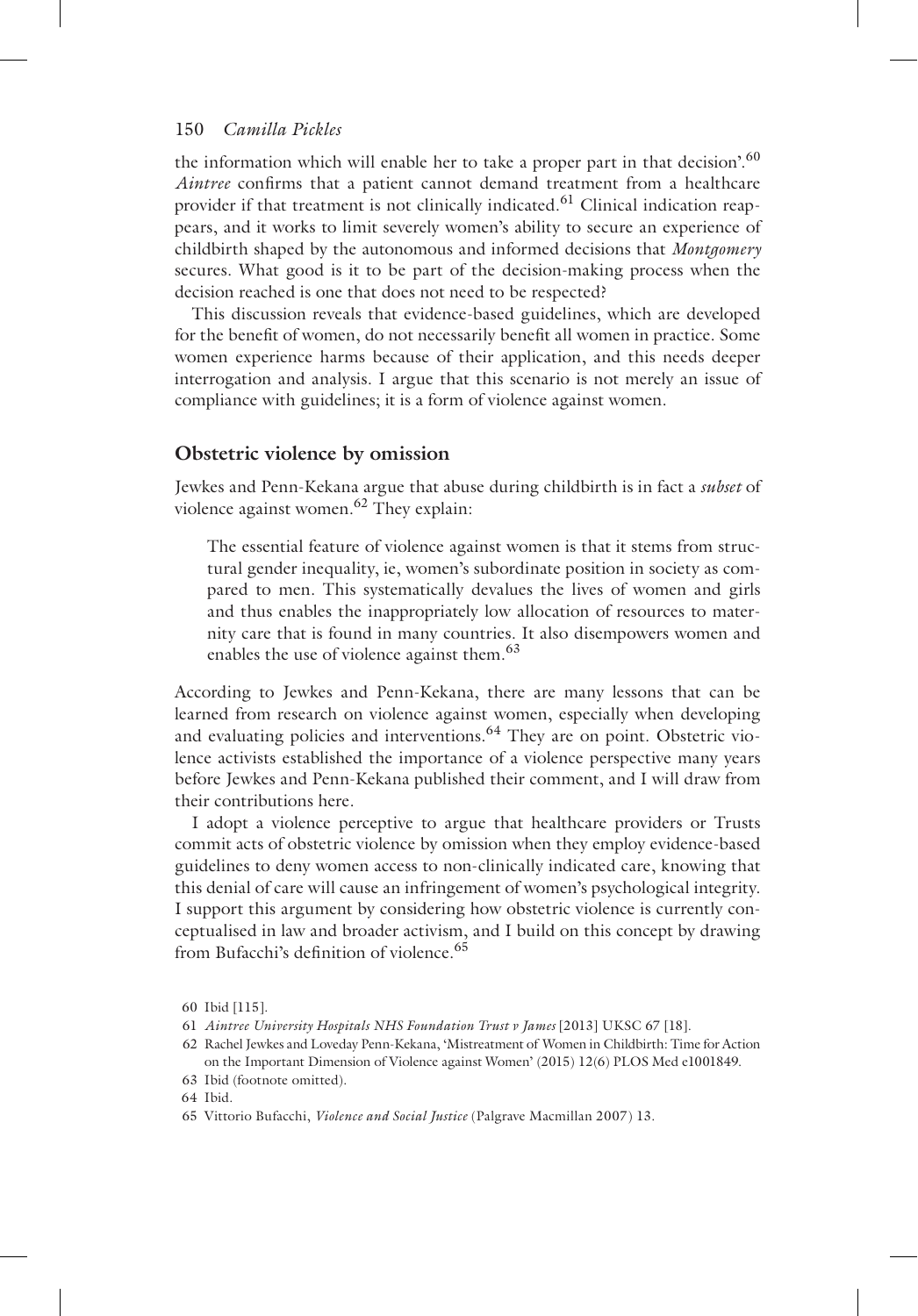the information which will enable her to take a proper part in that decision'.<sup>60</sup> *Aintree* confirms that a patient cannot demand treatment from a healthcare provider if that treatment is not clinically indicated.<sup>61</sup> Clinical indication reappears, and it works to limit severely women's ability to secure an experience of childbirth shaped by the autonomous and informed decisions that *Montgomery* secures. What good is it to be part of the decision-making process when the decision reached is one that does not need to be respected?

This discussion reveals that evidence-based guidelines, which are developed for the benefit of women, do not necessarily benefit all women in practice. Some women experience harms because of their application, and this needs deeper interrogation and analysis. I argue that this scenario is not merely an issue of compliance with guidelines; it is a form of violence against women.

#### **Obstetric violence by omission**

Jewkes and Penn-Kekana argue that abuse during childbirth is in fact a *subset* of violence against women.<sup>62</sup> They explain:

The essential feature of violence against women is that it stems from structural gender inequality, ie, women's subordinate position in society as compared to men. This systematically devalues the lives of women and girls and thus enables the inappropriately low allocation of resources to maternity care that is found in many countries. It also disempowers women and enables the use of violence against them.<sup>63</sup>

According to Jewkes and Penn-Kekana, there are many lessons that can be learned from research on violence against women, especially when developing and evaluating policies and interventions.<sup>64</sup> They are on point. Obstetric violence activists established the importance of a violence perspective many years before Jewkes and Penn-Kekana published their comment, and I will draw from their contributions here.

I adopt a violence perceptive to argue that healthcare providers or Trusts commit acts of obstetric violence by omission when they employ evidence-based guidelines to deny women access to non-clinically indicated care, knowing that this denial of care will cause an infringement of women's psychological integrity. I support this argument by considering how obstetric violence is currently conceptualised in law and broader activism, and I build on this concept by drawing from Bufacchi's definition of violence.<sup>65</sup>

- 62 Rachel Jewkes and Loveday Penn-Kekana, 'Mistreatment of Women in Childbirth: Time for Action on the Important Dimension of Violence against Women' (2015) 12(6) PLOS Med e1001849.
- 63 Ibid (footnote omitted).
- 64 Ibid.

<sup>60</sup> Ibid [115].

<sup>61</sup> *Aintree University Hospitals NHS Foundation Trust v James* [2013] UKSC 67 [18].

<sup>65</sup> Vittorio Bufacchi, *Violence and Social Justice* (Palgrave Macmillan 2007) 13.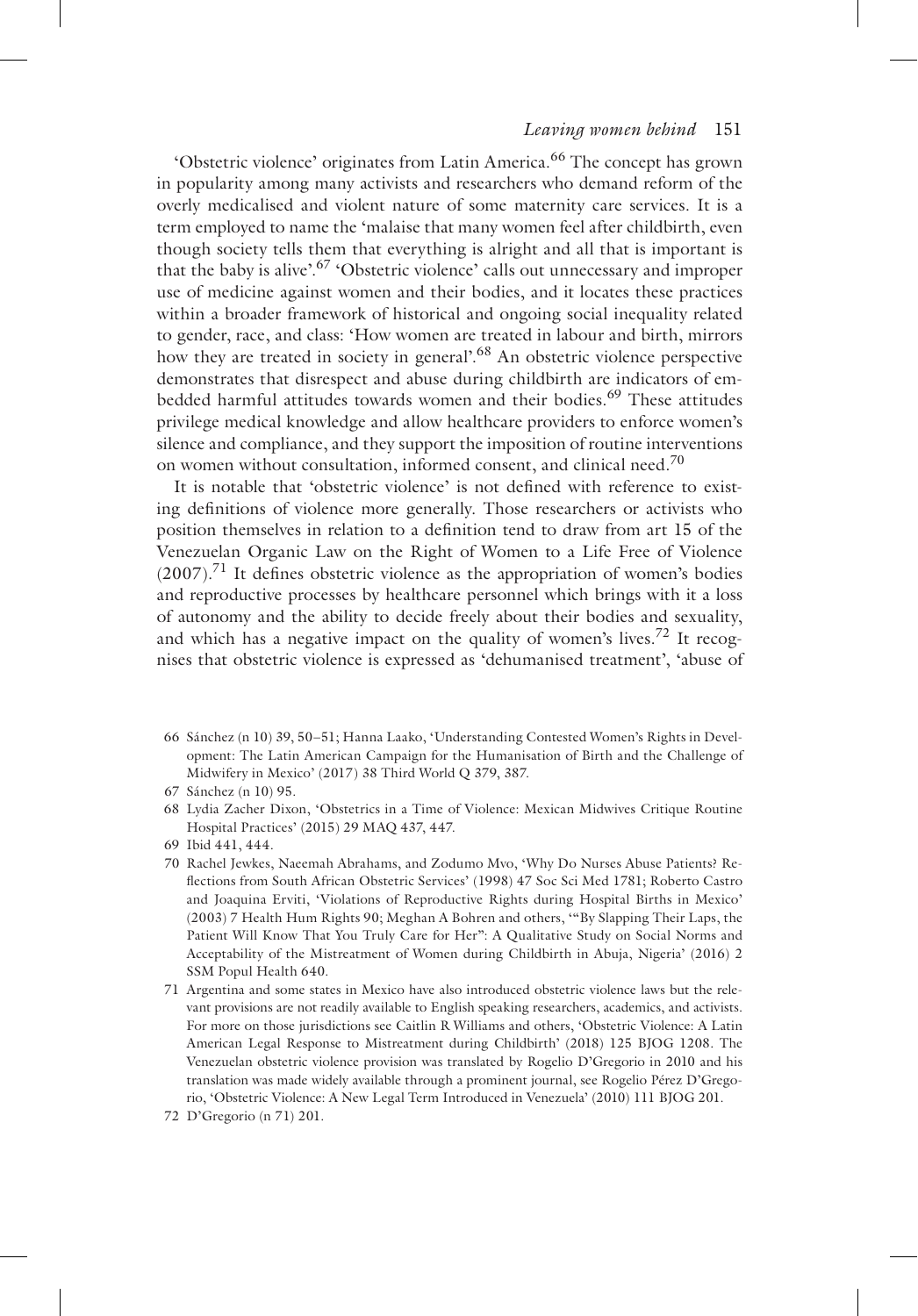#### *Leaving women behind* 151

'Obstetric violence' originates from Latin America.<sup>66</sup> The concept has grown in popularity among many activists and researchers who demand reform of the overly medicalised and violent nature of some maternity care services. It is a term employed to name the 'malaise that many women feel after childbirth, even though society tells them that everything is alright and all that is important is that the baby is alive'.67 'Obstetric violence' calls out unnecessary and improper use of medicine against women and their bodies, and it locates these practices within a broader framework of historical and ongoing social inequality related to gender, race, and class: 'How women are treated in labour and birth, mirrors how they are treated in society in general'.<sup>68</sup> An obstetric violence perspective demonstrates that disrespect and abuse during childbirth are indicators of embedded harmful attitudes towards women and their bodies.<sup>69</sup> These attitudes privilege medical knowledge and allow healthcare providers to enforce women's silence and compliance, and they support the imposition of routine interventions on women without consultation, informed consent, and clinical need.<sup>70</sup>

It is notable that 'obstetric violence' is not defined with reference to existing definitions of violence more generally. Those researchers or activists who position themselves in relation to a definition tend to draw from art 15 of the Venezuelan Organic Law on the Right of Women to a Life Free of Violence  $(2007)$ <sup>71</sup>. It defines obstetric violence as the appropriation of women's bodies and reproductive processes by healthcare personnel which brings with it a loss of autonomy and the ability to decide freely about their bodies and sexuality, and which has a negative impact on the quality of women's lives.<sup>72</sup> It recognises that obstetric violence is expressed as 'dehumanised treatment', 'abuse of

- 66 Sánchez (n 10) 39, 50–51; Hanna Laako, 'Understanding Contested Women's Rights in Development: The Latin American Campaign for the Humanisation of Birth and the Challenge of Midwifery in Mexico' (2017) 38 Third World Q 379, 387.
- 67 Sánchez (n 10) 95.
- 68 Lydia Zacher Dixon, 'Obstetrics in a Time of Violence: Mexican Midwives Critique Routine Hospital Practices' (2015) 29 MAQ 437, 447.
- 69 Ibid 441, 444.
- 70 Rachel Jewkes, Naeemah Abrahams, and Zodumo Mvo, 'Why Do Nurses Abuse Patients? Reflections from South African Obstetric Services' (1998) 47 Soc Sci Med 1781; Roberto Castro and Joaquina Erviti, 'Violations of Reproductive Rights during Hospital Births in Mexico' (2003) 7 Health Hum Rights 90; Meghan A Bohren and others, '"By Slapping Their Laps, the Patient Will Know That You Truly Care for Her": A Qualitative Study on Social Norms and Acceptability of the Mistreatment of Women during Childbirth in Abuja, Nigeria' (2016) 2 SSM Popul Health 640.
- 71 Argentina and some states in Mexico have also introduced obstetric violence laws but the relevant provisions are not readily available to English speaking researchers, academics, and activists. For more on those jurisdictions see Caitlin R Williams and others, 'Obstetric Violence: A Latin American Legal Response to Mistreatment during Childbirth' (2018) 125 BJOG 1208. The Venezuelan obstetric violence provision was translated by Rogelio D'Gregorio in 2010 and his translation was made widely available through a prominent journal, see Rogelio Pérez D'Gregorio, 'Obstetric Violence: A New Legal Term Introduced in Venezuela' (2010) 111 BJOG 201.

<sup>72</sup> D'Gregorio (n 71) 201.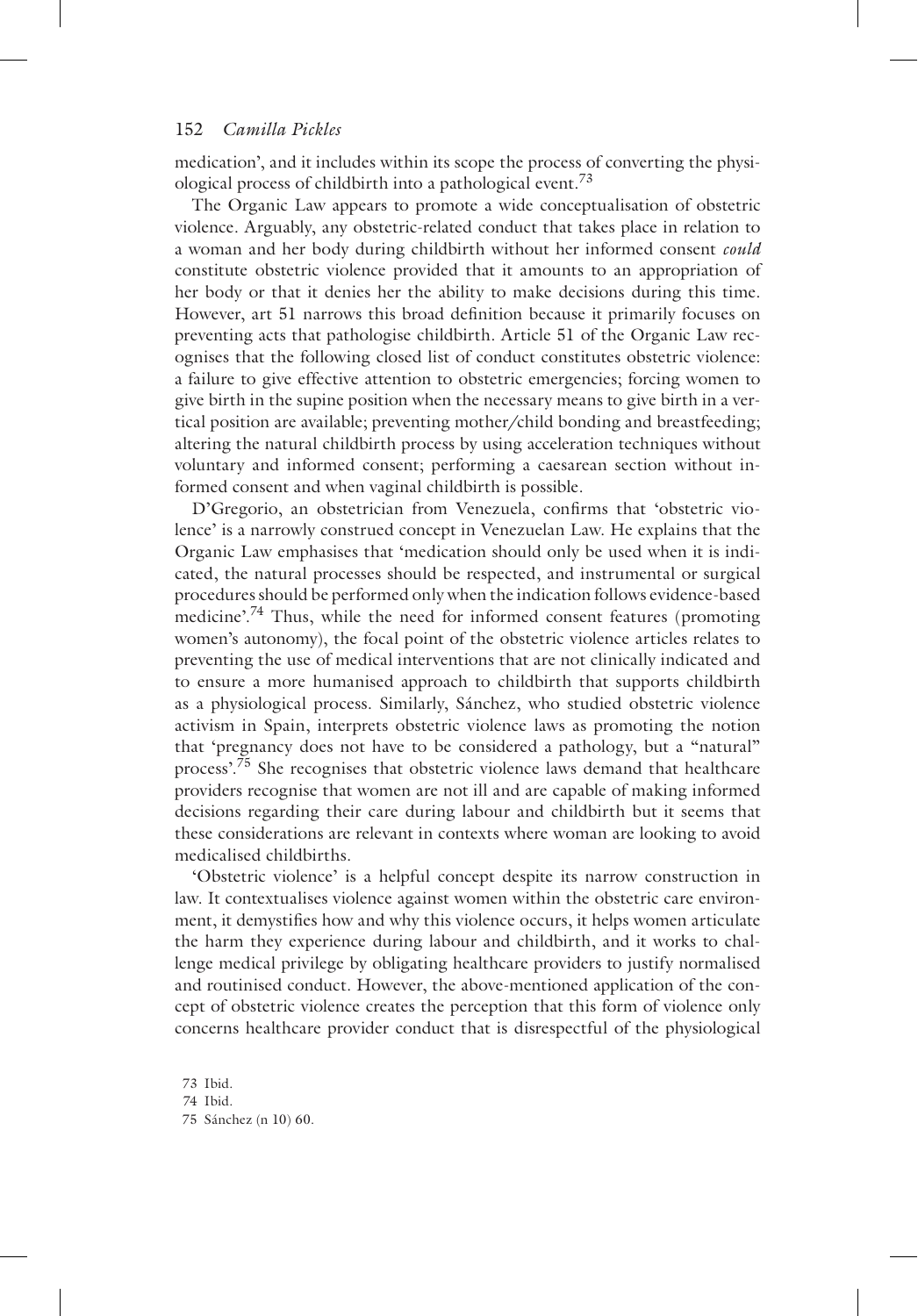medication', and it includes within its scope the process of converting the physiological process of childbirth into a pathological event.73

The Organic Law appears to promote a wide conceptualisation of obstetric violence. Arguably, any obstetric-related conduct that takes place in relation to a woman and her body during childbirth without her informed consent *could* constitute obstetric violence provided that it amounts to an appropriation of her body or that it denies her the ability to make decisions during this time. However, art 51 narrows this broad definition because it primarily focuses on preventing acts that pathologise childbirth. Article 51 of the Organic Law recognises that the following closed list of conduct constitutes obstetric violence: a failure to give effective attention to obstetric emergencies; forcing women to give birth in the supine position when the necessary means to give birth in a vertical position are available; preventing mother/child bonding and breastfeeding; altering the natural childbirth process by using acceleration techniques without voluntary and informed consent; performing a caesarean section without informed consent and when vaginal childbirth is possible.

D'Gregorio, an obstetrician from Venezuela, confirms that 'obstetric violence' is a narrowly construed concept in Venezuelan Law. He explains that the Organic Law emphasises that 'medication should only be used when it is indicated, the natural processes should be respected, and instrumental or surgical procedures should be performed only when the indication follows evidence-based medicine'.<sup>74</sup> Thus, while the need for informed consent features (promoting women's autonomy), the focal point of the obstetric violence articles relates to preventing the use of medical interventions that are not clinically indicated and to ensure a more humanised approach to childbirth that supports childbirth as a physiological process. Similarly, Sánchez, who studied obstetric violence activism in Spain, interprets obstetric violence laws as promoting the notion that 'pregnancy does not have to be considered a pathology, but a "natural" process<sup>, 75</sup> She recognises that obstetric violence laws demand that healthcare providers recognise that women are not ill and are capable of making informed decisions regarding their care during labour and childbirth but it seems that these considerations are relevant in contexts where woman are looking to avoid medicalised childbirths.

'Obstetric violence' is a helpful concept despite its narrow construction in law. It contextualises violence against women within the obstetric care environment, it demystifies how and why this violence occurs, it helps women articulate the harm they experience during labour and childbirth, and it works to challenge medical privilege by obligating healthcare providers to justify normalised and routinised conduct. However, the above-mentioned application of the concept of obstetric violence creates the perception that this form of violence only concerns healthcare provider conduct that is disrespectful of the physiological

73 Ibid. 74 Ibid. 75 Sánchez (n 10) 60.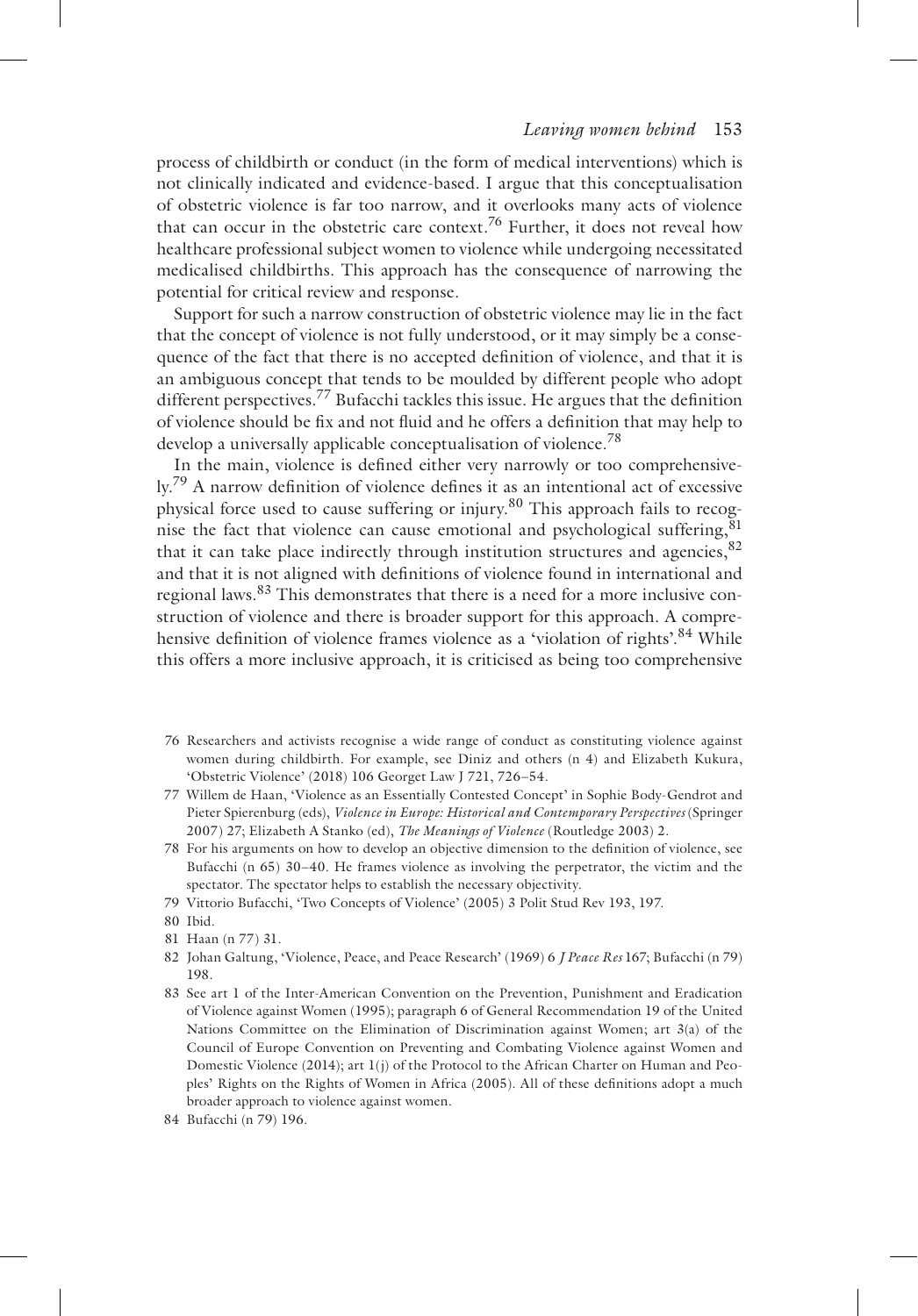#### *Leaving women behind* 153

process of childbirth or conduct (in the form of medical interventions) which is not clinically indicated and evidence-based. I argue that this conceptualisation of obstetric violence is far too narrow, and it overlooks many acts of violence that can occur in the obstetric care context.<sup>76</sup> Further, it does not reveal how healthcare professional subject women to violence while undergoing necessitated medicalised childbirths. This approach has the consequence of narrowing the potential for critical review and response.

Support for such a narrow construction of obstetric violence may lie in the fact that the concept of violence is not fully understood, or it may simply be a consequence of the fact that there is no accepted definition of violence, and that it is an ambiguous concept that tends to be moulded by different people who adopt different perspectives.77 Bufacchi tackles this issue. He argues that the definition of violence should be fix and not fluid and he offers a definition that may help to develop a universally applicable conceptualisation of violence.<sup>78</sup>

In the main, violence is defined either very narrowly or too comprehensively.<sup>79</sup> A narrow definition of violence defines it as an intentional act of excessive physical force used to cause suffering or injury.<sup>80</sup> This approach fails to recognise the fact that violence can cause emotional and psychological suffering, <sup>81</sup> that it can take place indirectly through institution structures and agencies, <sup>82</sup> and that it is not aligned with definitions of violence found in international and regional laws.<sup>83</sup> This demonstrates that there is a need for a more inclusive construction of violence and there is broader support for this approach. A comprehensive definition of violence frames violence as a 'violation of rights'.<sup>84</sup> While this offers a more inclusive approach, it is criticised as being too comprehensive

- 76 Researchers and activists recognise a wide range of conduct as constituting violence against women during childbirth. For example, see Diniz and others (n 4) and Elizabeth Kukura, 'Obstetric Violence' (2018) 106 Georget Law J 721, 726–54.
- 77 Willem de Haan, 'Violence as an Essentially Contested Concept' in Sophie Body-Gendrot and Pieter Spierenburg (eds), *Violence in Europe: Historical and Contemporary Perspectives* (Springer 2007) 27; Elizabeth A Stanko (ed), *The Meanings of Violence* (Routledge 2003) 2.
- 78 For his arguments on how to develop an objective dimension to the definition of violence, see Bufacchi (n 65) 30–40. He frames violence as involving the perpetrator, the victim and the spectator. The spectator helps to establish the necessary objectivity.
- 79 Vittorio Bufacchi, 'Two Concepts of Violence' (2005) 3 Polit Stud Rev 193, 197.

- 81 Haan (n 77) 31.
- 82 Johan Galtung, 'Violence, Peace, and Peace Research' (1969) 6 *J Peace Res* 167; Bufacchi (n 79) 198.
- 83 See art 1 of the Inter-American Convention on the Prevention, Punishment and Eradication of Violence against Women (1995); paragraph 6 of General Recommendation 19 of the United Nations Committee on the Elimination of Discrimination against Women; art 3(a) of the Council of Europe Convention on Preventing and Combating Violence against Women and Domestic Violence (2014); art 1(j) of the Protocol to the African Charter on Human and Peoples' Rights on the Rights of Women in Africa (2005). All of these definitions adopt a much broader approach to violence against women.

<sup>80</sup> Ibid.

<sup>84</sup> Bufacchi (n 79) 196.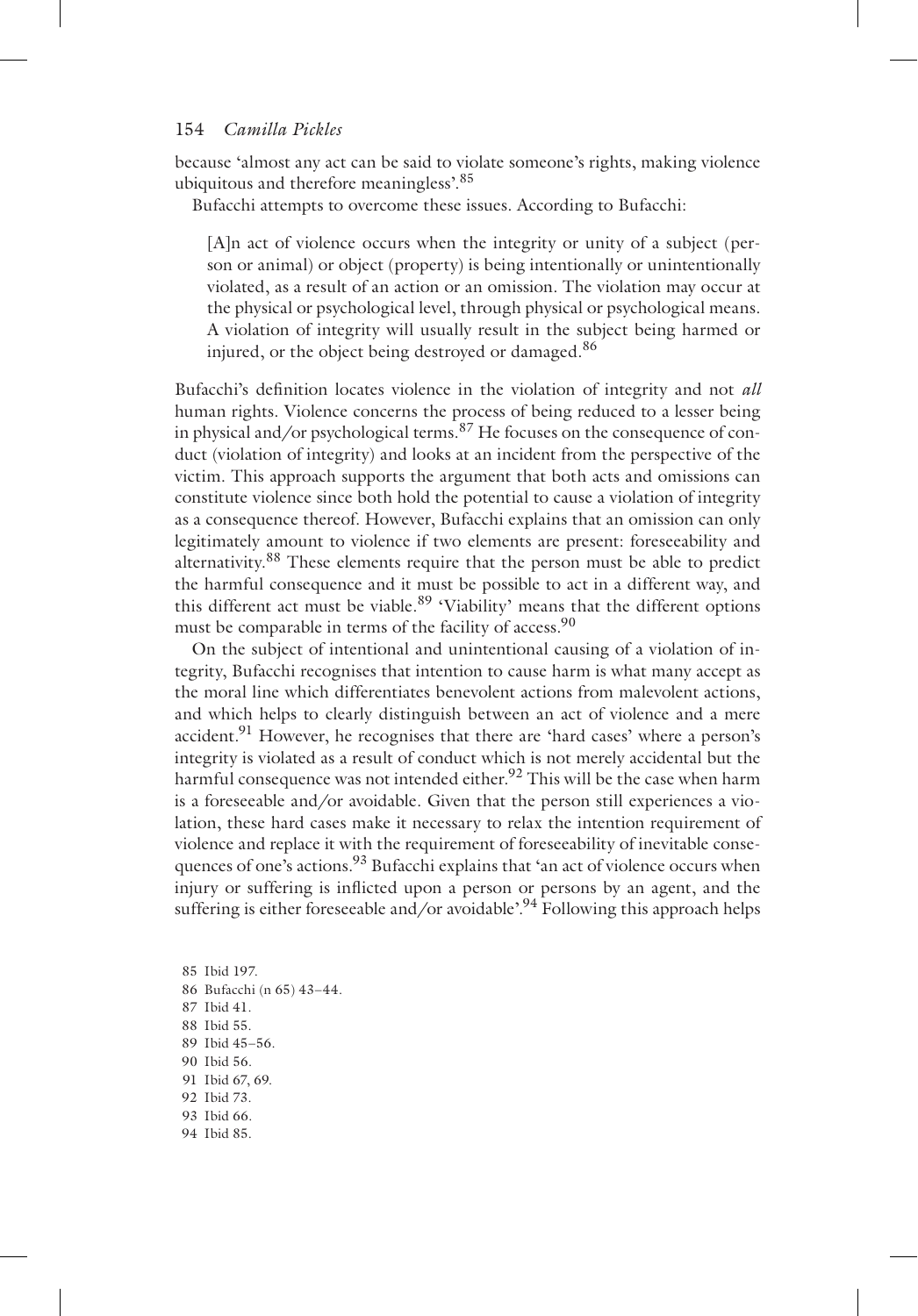because 'almost any act can be said to violate someone's rights, making violence ubiquitous and therefore meaningless'.<sup>85</sup>

Bufacchi attempts to overcome these issues. According to Bufacchi:

[A]n act of violence occurs when the integrity or unity of a subject (person or animal) or object (property) is being intentionally or unintentionally violated, as a result of an action or an omission. The violation may occur at the physical or psychological level, through physical or psychological means. A violation of integrity will usually result in the subject being harmed or injured, or the object being destroyed or damaged.<sup>86</sup>

Bufacchi's definition locates violence in the violation of integrity and not *all* human rights. Violence concerns the process of being reduced to a lesser being in physical and/or psychological terms. $87$  He focuses on the consequence of conduct (violation of integrity) and looks at an incident from the perspective of the victim. This approach supports the argument that both acts and omissions can constitute violence since both hold the potential to cause a violation of integrity as a consequence thereof. However, Bufacchi explains that an omission can only legitimately amount to violence if two elements are present: foreseeability and alternativity.<sup>88</sup> These elements require that the person must be able to predict the harmful consequence and it must be possible to act in a different way, and this different act must be viable.89 'Viability' means that the different options must be comparable in terms of the facility of access.<sup>90</sup>

On the subject of intentional and unintentional causing of a violation of integrity, Bufacchi recognises that intention to cause harm is what many accept as the moral line which differentiates benevolent actions from malevolent actions, and which helps to clearly distinguish between an act of violence and a mere accident.<sup>91</sup> However, he recognises that there are 'hard cases' where a person's integrity is violated as a result of conduct which is not merely accidental but the harmful consequence was not intended either.<sup>92</sup> This will be the case when harm is a foreseeable and/or avoidable. Given that the person still experiences a violation, these hard cases make it necessary to relax the intention requirement of violence and replace it with the requirement of foreseeability of inevitable consequences of one's actions.<sup>93</sup> Bufacchi explains that 'an act of violence occurs when injury or suffering is inflicted upon a person or persons by an agent, and the suffering is either foreseeable and/or avoidable'.<sup>94</sup> Following this approach helps

85 Ibid 197. 86 Bufacchi (n 65) 43–44. 87 Ibid 41. 88 Ibid 55. 89 Ibid 45–56. 90 Ibid 56. 91 Ibid 67, 69. 92 Ibid 73. 93 Ibid 66. 94 Ibid 85.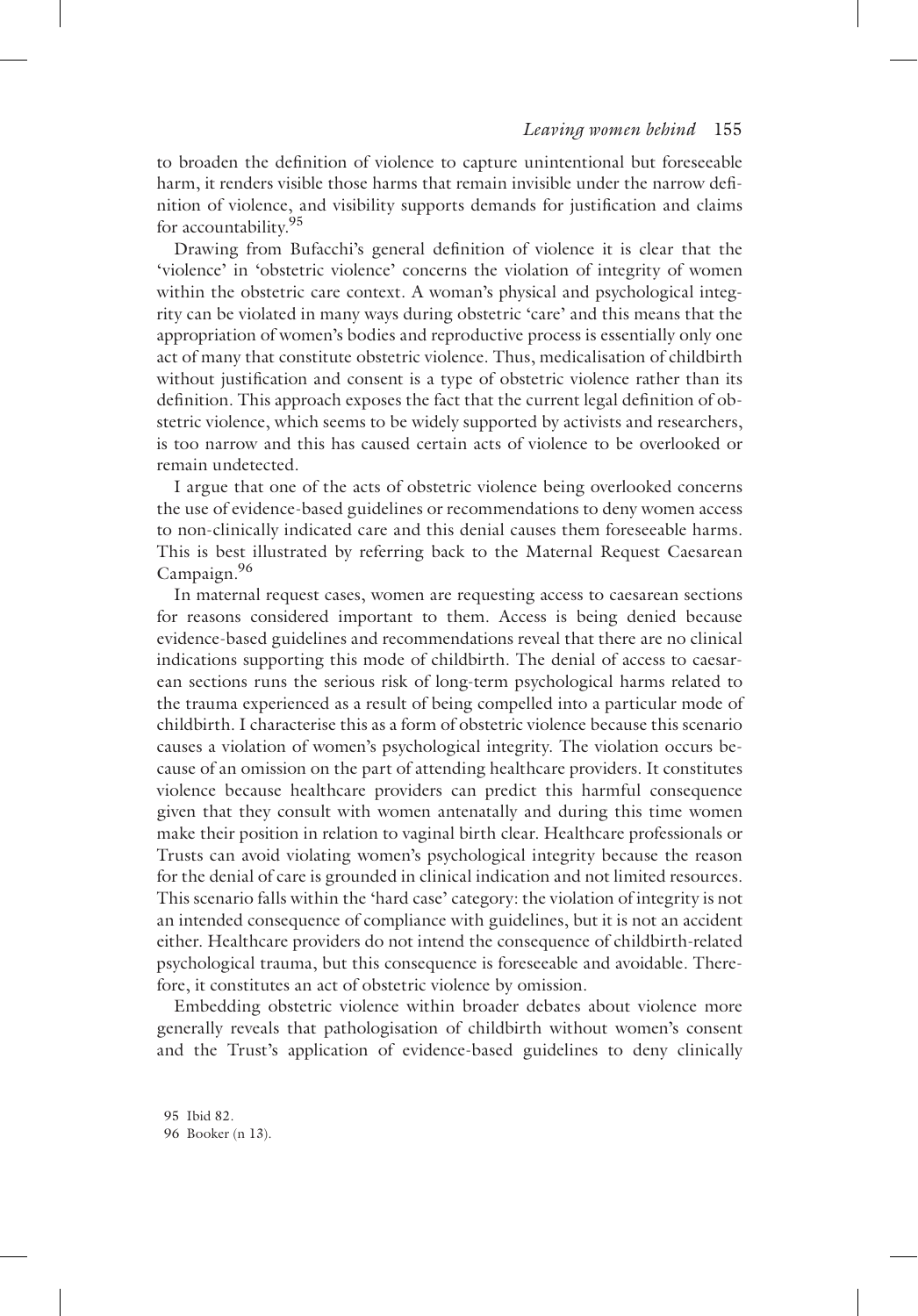to broaden the definition of violence to capture unintentional but foreseeable harm, it renders visible those harms that remain invisible under the narrow definition of violence, and visibility supports demands for justification and claims for accountability.95

Drawing from Bufacchi's general definition of violence it is clear that the 'violence' in 'obstetric violence' concerns the violation of integrity of women within the obstetric care context. A woman's physical and psychological integrity can be violated in many ways during obstetric 'care' and this means that the appropriation of women's bodies and reproductive process is essentially only one act of many that constitute obstetric violence. Thus, medicalisation of childbirth without justification and consent is a type of obstetric violence rather than its definition. This approach exposes the fact that the current legal definition of obstetric violence, which seems to be widely supported by activists and researchers, is too narrow and this has caused certain acts of violence to be overlooked or remain undetected.

I argue that one of the acts of obstetric violence being overlooked concerns the use of evidence-based guidelines or recommendations to deny women access to non-clinically indicated care and this denial causes them foreseeable harms. This is best illustrated by referring back to the Maternal Request Caesarean Campaign.96

In maternal request cases, women are requesting access to caesarean sections for reasons considered important to them. Access is being denied because evidence-based guidelines and recommendations reveal that there are no clinical indications supporting this mode of childbirth. The denial of access to caesarean sections runs the serious risk of long-term psychological harms related to the trauma experienced as a result of being compelled into a particular mode of childbirth. I characterise this as a form of obstetric violence because this scenario causes a violation of women's psychological integrity. The violation occurs because of an omission on the part of attending healthcare providers. It constitutes violence because healthcare providers can predict this harmful consequence given that they consult with women antenatally and during this time women make their position in relation to vaginal birth clear. Healthcare professionals or Trusts can avoid violating women's psychological integrity because the reason for the denial of care is grounded in clinical indication and not limited resources. This scenario falls within the 'hard case' category: the violation of integrity is not an intended consequence of compliance with guidelines, but it is not an accident either. Healthcare providers do not intend the consequence of childbirth-related psychological trauma, but this consequence is foreseeable and avoidable. Therefore, it constitutes an act of obstetric violence by omission.

Embedding obstetric violence within broader debates about violence more generally reveals that pathologisation of childbirth without women's consent and the Trust's application of evidence-based guidelines to deny clinically

95 Ibid 82. 96 Booker (n 13).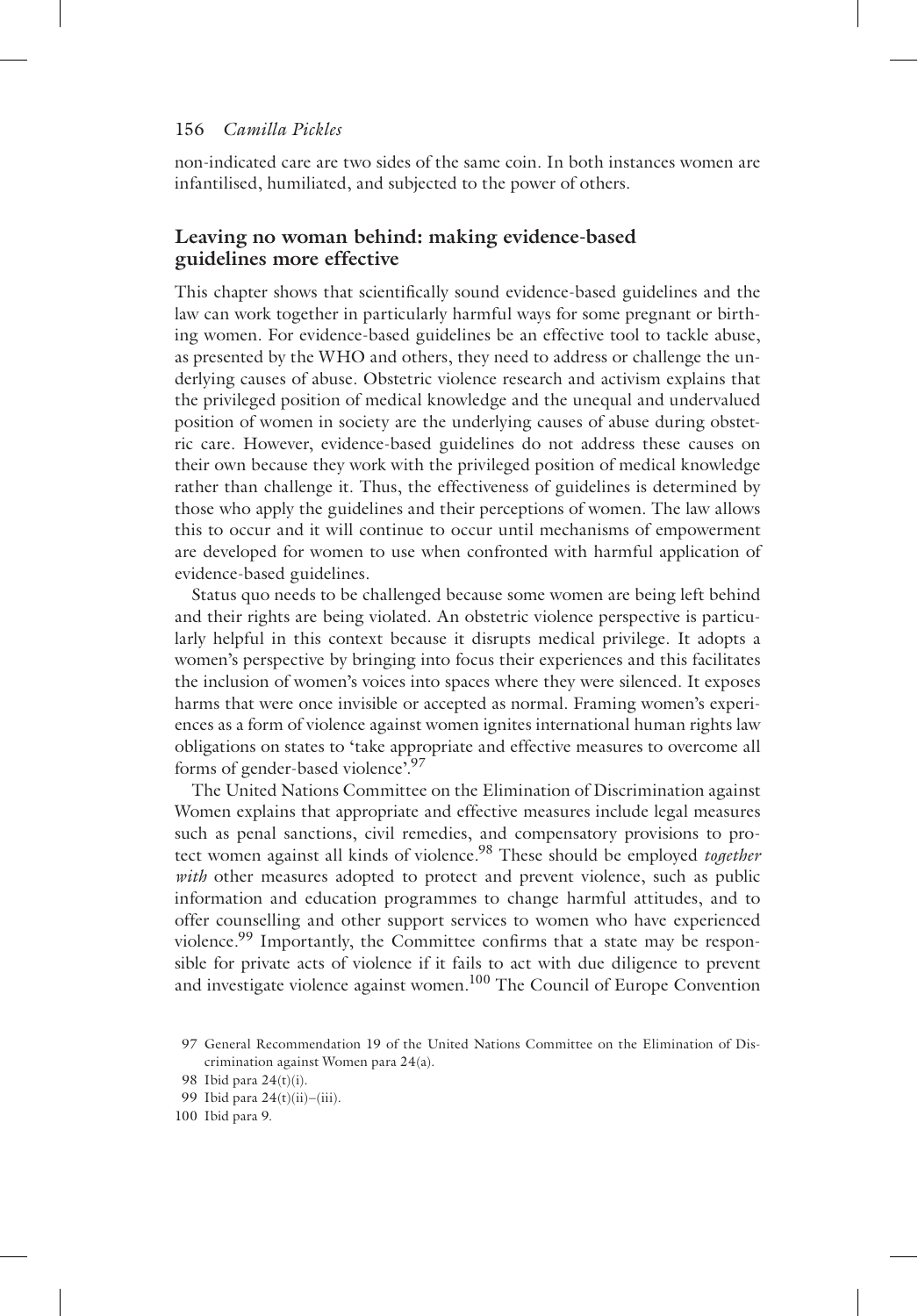non-indicated care are two sides of the same coin. In both instances women are infantilised, humiliated, and subjected to the power of others.

### **Leaving no woman behind: making evidence-based guidelines more effective**

This chapter shows that scientifically sound evidence-based guidelines and the law can work together in particularly harmful ways for some pregnant or birthing women. For evidence-based guidelines be an effective tool to tackle abuse, as presented by the WHO and others, they need to address or challenge the underlying causes of abuse. Obstetric violence research and activism explains that the privileged position of medical knowledge and the unequal and undervalued position of women in society are the underlying causes of abuse during obstetric care. However, evidence-based guidelines do not address these causes on their own because they work with the privileged position of medical knowledge rather than challenge it. Thus, the effectiveness of guidelines is determined by those who apply the guidelines and their perceptions of women. The law allows this to occur and it will continue to occur until mechanisms of empowerment are developed for women to use when confronted with harmful application of evidence-based guidelines.

Status quo needs to be challenged because some women are being left behind and their rights are being violated. An obstetric violence perspective is particularly helpful in this context because it disrupts medical privilege. It adopts a women's perspective by bringing into focus their experiences and this facilitates the inclusion of women's voices into spaces where they were silenced. It exposes harms that were once invisible or accepted as normal. Framing women's experiences as a form of violence against women ignites international human rights law obligations on states to 'take appropriate and effective measures to overcome all forms of gender-based violence'.97

The United Nations Committee on the Elimination of Discrimination against Women explains that appropriate and effective measures include legal measures such as penal sanctions, civil remedies, and compensatory provisions to protect women against all kinds of violence.98 These should be employed *together*  with other measures adopted to protect and prevent violence, such as public information and education programmes to change harmful attitudes, and to offer counselling and other support services to women who have experienced violence.<sup>99</sup> Importantly, the Committee confirms that a state may be responsible for private acts of violence if it fails to act with due diligence to prevent and investigate violence against women.<sup>100</sup> The Council of Europe Convention

<sup>97</sup> General Recommendation 19 of the United Nations Committee on the Elimination of Discrimination against Women para 24(a).

<sup>98</sup> Ibid para 24(t)(i).

<sup>99</sup> Ibid para 24(t)(ii)–(iii).

<sup>100</sup> Ibid para 9.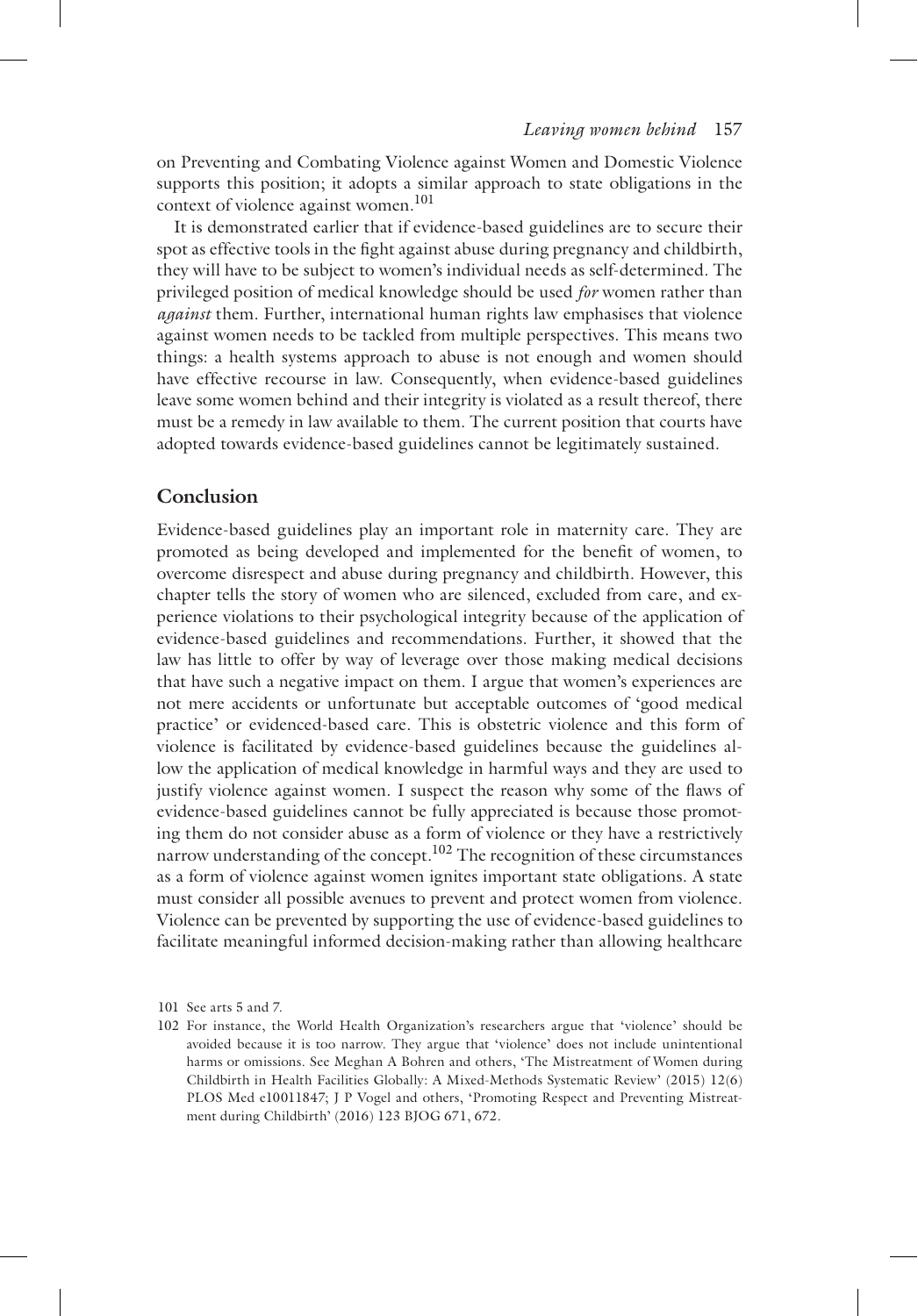on Preventing and Combating Violence against Women and Domestic Violence supports this position; it adopts a similar approach to state obligations in the context of violence against women.<sup>101</sup>

It is demonstrated earlier that if evidence-based guidelines are to secure their spot as effective tools in the fight against abuse during pregnancy and childbirth, they will have to be subject to women's individual needs as self-determined. The privileged position of medical knowledge should be used *for* women rather than *against* them. Further, international human rights law emphasises that violence against women needs to be tackled from multiple perspectives. This means two things: a health systems approach to abuse is not enough and women should have effective recourse in law. Consequently, when evidence-based guidelines leave some women behind and their integrity is violated as a result thereof, there must be a remedy in law available to them. The current position that courts have adopted towards evidence-based guidelines cannot be legitimately sustained.

## **Conclusion**

Evidence-based guidelines play an important role in maternity care. They are promoted as being developed and implemented for the benefit of women, to overcome disrespect and abuse during pregnancy and childbirth. However, this chapter tells the story of women who are silenced, excluded from care, and experience violations to their psychological integrity because of the application of evidence-based guidelines and recommendations. Further, it showed that the law has little to offer by way of leverage over those making medical decisions that have such a negative impact on them. I argue that women's experiences are not mere accidents or unfortunate but acceptable outcomes of 'good medical practice' or evidenced-based care. This is obstetric violence and this form of violence is facilitated by evidence-based guidelines because the guidelines allow the application of medical knowledge in harmful ways and they are used to justify violence against women. I suspect the reason why some of the flaws of evidence-based guidelines cannot be fully appreciated is because those promoting them do not consider abuse as a form of violence or they have a restrictively narrow understanding of the concept.<sup>102</sup> The recognition of these circumstances as a form of violence against women ignites important state obligations. A state must consider all possible avenues to prevent and protect women from violence. Violence can be prevented by supporting the use of evidence-based guidelines to facilitate meaningful informed decision-making rather than allowing healthcare

<sup>101</sup> See arts 5 and 7.

<sup>102</sup> For instance, the World Health Organization's researchers argue that 'violence' should be avoided because it is too narrow. They argue that 'violence' does not include unintentional harms or omissions. See Meghan A Bohren and others, 'The Mistreatment of Women during Childbirth in Health Facilities Globally: A Mixed-Methods Systematic Review' (2015) 12(6) PLOS Med e10011847; J P Vogel and others, 'Promoting Respect and Preventing Mistreatment during Childbirth' (2016) 123 BJOG 671, 672.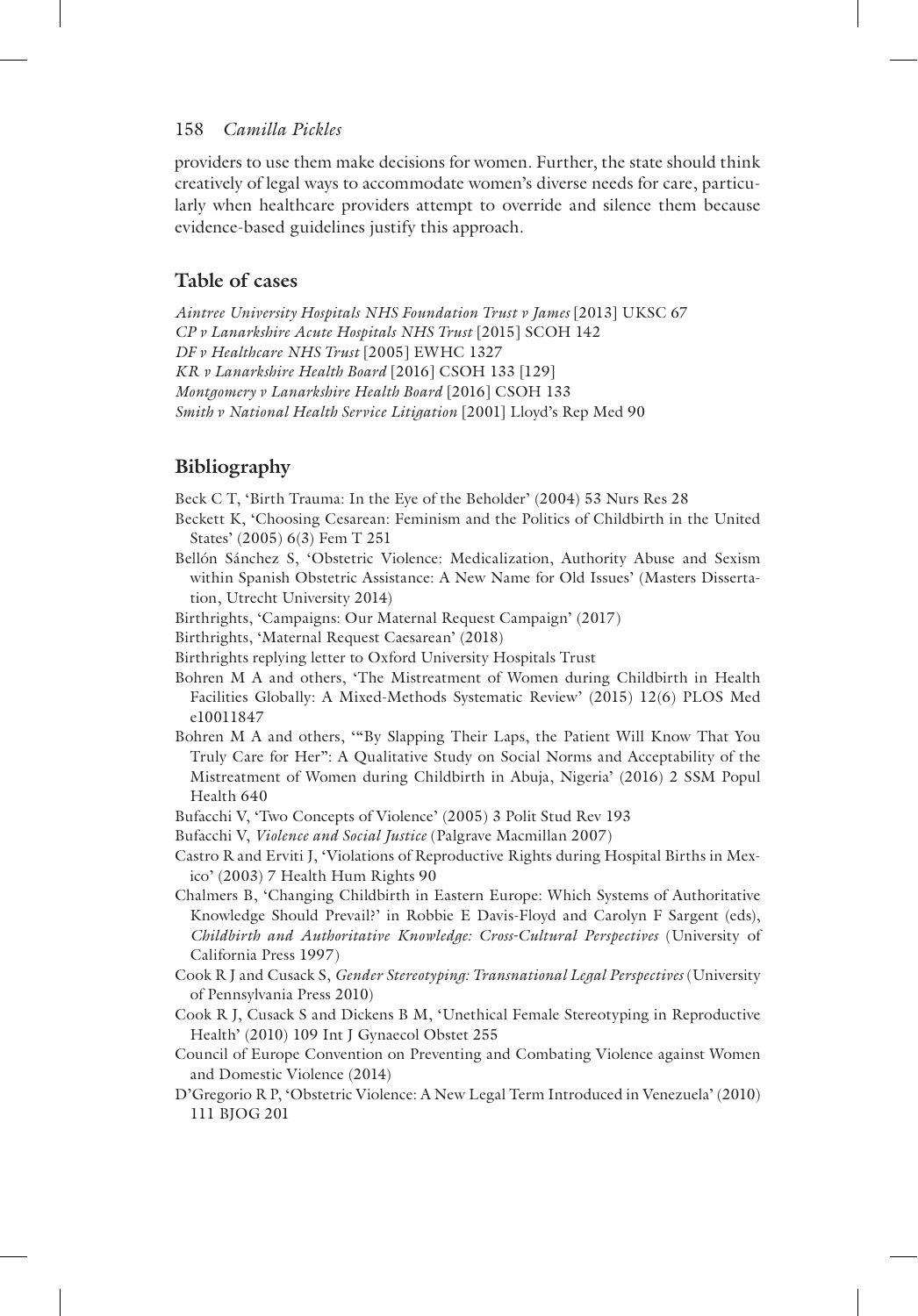providers to use them make decisions for women. Further, the state should think creatively of legal ways to accommodate women's diverse needs for care, particularly when healthcare providers attempt to override and silence them because evidence-based guidelines justify this approach.

## **Table of cases**

*Aintree University Hospitals NHS Foundation Trust v James* [2013] UKSC 67 *CP v Lanarkshire Acute Hospitals NHS Trust* [2015] SCOH 142 *DF v Healthcare NHS Trust* [2005] EWHC 1327 *KR v Lanarkshire Health Board* [2016] CSOH 133 [129] *Montgomery v Lanarkshire Health Board* [2016] CSOH 133 *Smith v National Health Service Litigation* [2001] Lloyd's Rep Med 90

## **Bibliography**

Beck C T, 'Birth Trauma: In the Eye of the Beholder' (2004) 53 Nurs Res 28

- Beckett K, 'Choosing Cesarean: Feminism and the Politics of Childbirth in the United States' (2005) 6(3) Fem T 251
- Bellón Sánchez S, 'Obstetric Violence: Medicalization, Authority Abuse and Sexism within Spanish Obstetric Assistance: A New Name for Old Issues' (Masters Dissertation, Utrecht University 2014)
- Birthrights, 'Campaigns: Our Maternal Request Campaign' (2017)

Birthrights, 'Maternal Request Caesarean' (2018)

- Birthrights replying letter to Oxford University Hospitals Trust
- Bohren M A and others, 'The Mistreatment of Women during Childbirth in Health Facilities Globally: A Mixed-Methods Systematic Review' (2015) 12(6) PLOS Med e10011847
- Bohren M A and others, '"By Slapping Their Laps, the Patient Will Know That You Truly Care for Her": A Qualitative Study on Social Norms and Acceptability of the Mistreatment of Women during Childbirth in Abuja, Nigeria' (2016) 2 SSM Popul Health 640
- Bufacchi V, 'Two Concepts of Violence' (2005) 3 Polit Stud Rev 193
- Bufacchi V, *Violence and Social Justice* (Palgrave Macmillan 2007)
- Castro R and Erviti J, 'Violations of Reproductive Rights during Hospital Births in Mexico' (2003) 7 Health Hum Rights 90
- Chalmers B, 'Changing Childbirth in Eastern Europe: Which Systems of Authoritative Knowledge Should Prevail?' in Robbie E Davis-Floyd and Carolyn F Sargent (eds), *Childbirth and Authoritative Knowledge: Cross-Cultural Perspectives* (University of California Press 1997)
- Cook R J and Cusack S, *Gender Stereotyping: Transnational Legal Perspectives* (University of Pennsylvania Press 2010)
- Cook R J, Cusack S and Dickens B M, 'Unethical Female Stereotyping in Reproductive Health' (2010) 109 Int J Gynaecol Obstet 255
- Council of Europe Convention on Preventing and Combating Violence against Women and Domestic Violence (2014)
- D'Gregorio R P, 'Obstetric Violence: A New Legal Term Introduced in Venezuela' (2010) 111 BJOG 201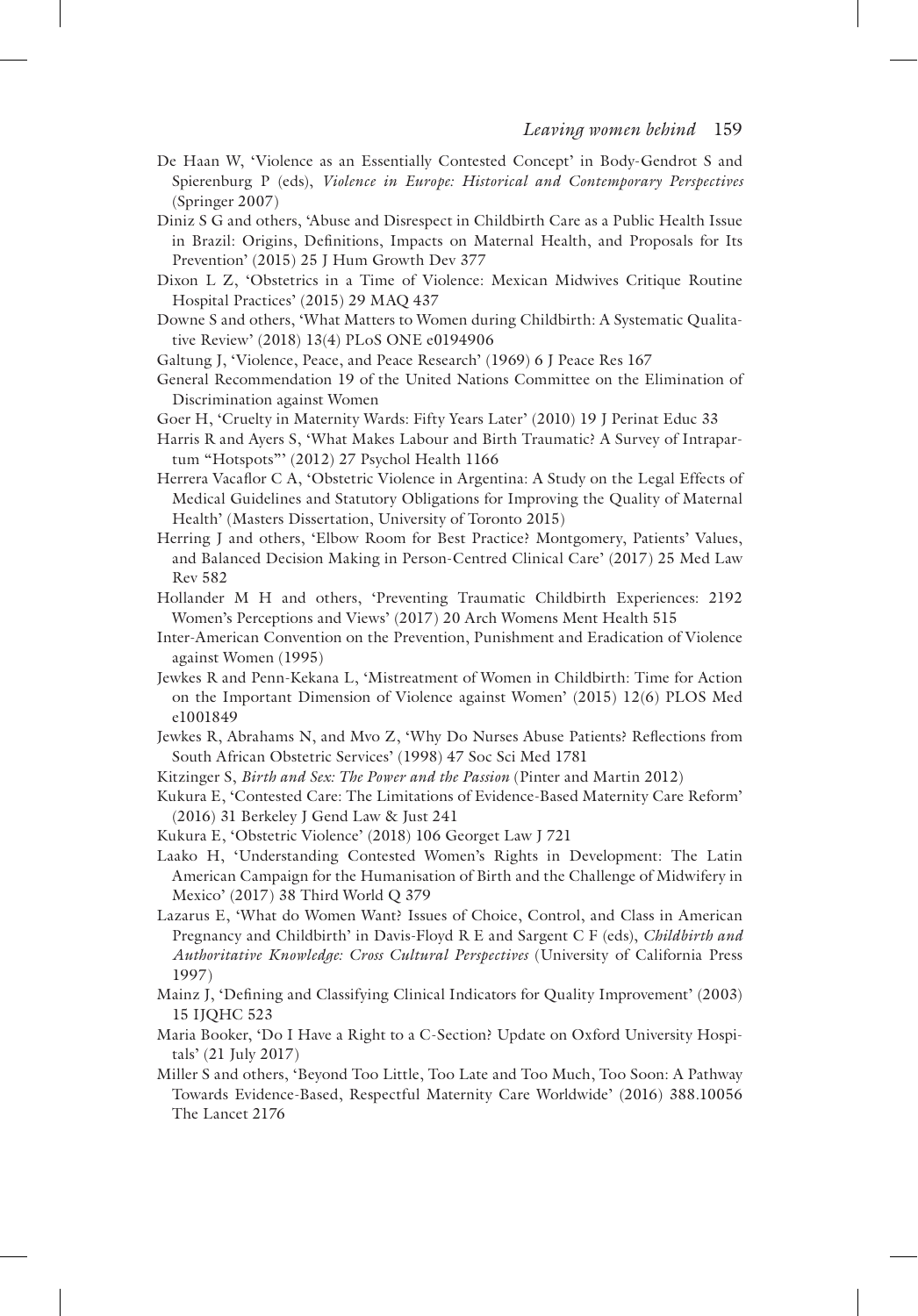- De Haan W, 'Violence as an Essentially Contested Concept' in Body-Gendrot S and Spierenburg P (eds), *Violence in Europe: Historical and Contemporary Perspectives* (Springer 2007)
- Diniz S G and others, 'Abuse and Disrespect in Childbirth Care as a Public Health Issue in Brazil: Origins, Definitions, Impacts on Maternal Health, and Proposals for Its Prevention' (2015) 25 J Hum Growth Dev 377
- Dixon L Z, 'Obstetrics in a Time of Violence: Mexican Midwives Critique Routine Hospital Practices' (2015) 29 MAQ 437
- Downe S and others, 'What Matters to Women during Childbirth: A Systematic Qualitative Review' (2018) 13(4) PLoS ONE e0194906
- Galtung J, 'Violence, Peace, and Peace Research' (1969) 6 J Peace Res 167
- General Recommendation 19 of the United Nations Committee on the Elimination of Discrimination against Women
- Goer H, 'Cruelty in Maternity Wards: Fifty Years Later' (2010) 19 J Perinat Educ 33
- Harris R and Ayers S, 'What Makes Labour and Birth Traumatic? A Survey of Intrapartum "Hotspots"' (2012) 27 Psychol Health 1166
- Herrera Vacaflor C A, 'Obstetric Violence in Argentina: A Study on the Legal Effects of Medical Guidelines and Statutory Obligations for Improving the Quality of Maternal Health' (Masters Dissertation, University of Toronto 2015)
- Herring J and others, 'Elbow Room for Best Practice? Montgomery, Patients' Values, and Balanced Decision Making in Person-Centred Clinical Care' (2017) 25 Med Law Rev 582
- Hollander M H and others, 'Preventing Traumatic Childbirth Experiences: 2192 Women's Perceptions and Views' (2017) 20 Arch Womens Ment Health 515
- Inter-American Convention on the Prevention, Punishment and Eradication of Violence against Women (1995)
- Jewkes R and Penn-Kekana L, 'Mistreatment of Women in Childbirth: Time for Action on the Important Dimension of Violence against Women' (2015) 12(6) PLOS Med e1001849
- Jewkes R, Abrahams N, and Mvo Z, 'Why Do Nurses Abuse Patients? Reflections from South African Obstetric Services' (1998) 47 Soc Sci Med 1781
- Kitzinger S, *Birth and Sex: The Power and the Passion* (Pinter and Martin 2012)
- Kukura E, 'Contested Care: The Limitations of Evidence-Based Maternity Care Reform' (2016) 31 Berkeley J Gend Law & Just 241
- Kukura E, 'Obstetric Violence' (2018) 106 Georget Law J 721
- Laako H, 'Understanding Contested Women's Rights in Development: The Latin American Campaign for the Humanisation of Birth and the Challenge of Midwifery in Mexico' (2017) 38 Third World Q 379
- Lazarus E, 'What do Women Want? Issues of Choice, Control, and Class in American Pregnancy and Childbirth' in Davis-Floyd R E and Sargent C F (eds), *Childbirth and Authoritative Knowledge: Cross Cultural Perspectives* (University of California Press 1997)
- Mainz J, 'Defining and Classifying Clinical Indicators for Quality Improvement' (2003) 15 IJQHC 523
- Maria Booker, 'Do I Have a Right to a C-Section? Update on Oxford University Hospitals' (21 July 2017)
- Miller S and others, 'Beyond Too Little, Too Late and Too Much, Too Soon: A Pathway Towards Evidence-Based, Respectful Maternity Care Worldwide' (2016) 388.10056 The Lancet 2176